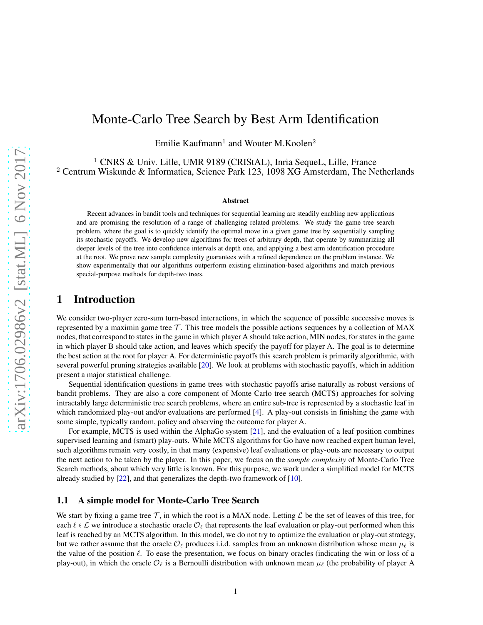# Monte-Carlo Tree Search by Best Arm Identification

Emilie Kaufmann<sup>1</sup> and Wouter M.Koolen<sup>2</sup>

<sup>1</sup> CNRS & Univ. Lille, UMR 9189 (CRIStAL), Inria SequeL, Lille, France <sup>2</sup> Centrum Wiskunde & Informatica, Science Park 123, 1098 XG Amsterdam, The Netherlands

#### Abstract

Recent advances in bandit tools and techniques for sequential learning are steadily enabling new applications and are promising the resolution of a range of challenging related problems. We study the game tree search problem, where the goal is to quickly identify the optimal move in a given game tree by sequentially sampling its stochastic payoffs. We develop new algorithms for trees of arbitrary depth, that operate by summarizing all deeper levels of the tree into confidence intervals at depth one, and applying a best arm identification procedure at the root. We prove new sample complexity guarantees with a refined dependence on the problem instance. We show experimentally that our algorithms outperform existing elimination-based algorithms and match previous special-purpose methods for depth-two trees.

# 1 Introduction

We consider two-player zero-sum turn-based interactions, in which the sequence of possible successive moves is represented by a maximin game tree  $\mathcal T$ . This tree models the possible actions sequences by a collection of MAX nodes, that correspond to states in the game in which player A should take action, MIN nodes, for states in the game in which player B should take action, and leaves which specify the payoff for player A. The goal is to determine the best action at the root for player A. For deterministic payoffs this search problem is primarily algorithmic, with several powerful pruning strategies available [\[20\]](#page-10-0). We look at problems with stochastic payoffs, which in addition present a major statistical challenge.

Sequential identification questions in game trees with stochastic payoffs arise naturally as robust versions of bandit problems. They are also a core component of Monte Carlo tree search (MCTS) approaches for solving intractably large deterministic tree search problems, where an entire sub-tree is represented by a stochastic leaf in which randomized play-out and/or evaluations are performed [\[4\]](#page-9-0). A play-out consists in finishing the game with some simple, typically random, policy and observing the outcome for player A.

For example, MCTS is used within the AlphaGo system [\[21\]](#page-10-1), and the evaluation of a leaf position combines supervised learning and (smart) play-outs. While MCTS algorithms for Go have now reached expert human level, such algorithms remain very costly, in that many (expensive) leaf evaluations or play-outs are necessary to output the next action to be taken by the player. In this paper, we focus on the *sample complexity* of Monte-Carlo Tree Search methods, about which very little is known. For this purpose, we work under a simplified model for MCTS already studied by [\[22\]](#page-10-2), and that generalizes the depth-two framework of [\[10\]](#page-9-1).

### 1.1 A simple model for Monte-Carlo Tree Search

We start by fixing a game tree T, in which the root is a MAX node. Letting  $\mathcal L$  be the set of leaves of this tree, for each  $\ell \in \mathcal{L}$  we introduce a stochastic oracle  $\mathcal{O}_{\ell}$  that represents the leaf evaluation or play-out performed when this leaf is reached by an MCTS algorithm. In this model, we do not try to optimize the evaluation or play-out strategy, but we rather assume that the oracle  $\mathcal{O}_\ell$  produces i.i.d. samples from an unknown distribution whose mean  $\mu_\ell$  is the value of the position  $\ell$ . To ease the presentation, we focus on binary oracles (indicating the win or loss of a play-out), in which the oracle  $\mathcal{O}_\ell$  is a Bernoulli distribution with unknown mean  $\mu_\ell$  (the probability of player A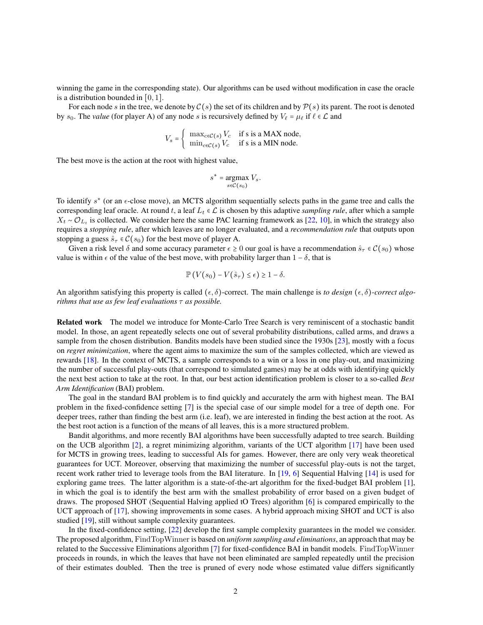winning the game in the corresponding state). Our algorithms can be used without modification in case the oracle is a distribution bounded in  $[0, 1]$ .

For each node s in the tree, we denote by  $C(s)$  the set of its children and by  $P(s)$  its parent. The root is denoted by  $s_0$ . The *value* (for player A) of any node s is recursively defined by  $V_\ell = \mu_\ell$  if  $\ell \in \mathcal{L}$  and

$$
V_s = \begin{cases} \max_{c \in \mathcal{C}(s)} V_c & \text{if } s \text{ is a MAX node,} \\ \min_{c \in \mathcal{C}(s)} V_c & \text{if } s \text{ is a MIN node.} \end{cases}
$$

The best move is the action at the root with highest value,

$$
s^* = \underset{s \in \mathcal{C}(s_0)}{\operatorname{argmax}} V_s.
$$

To identify  $s^*$  (or an  $\epsilon$ -close move), an MCTS algorithm sequentially selects paths in the game tree and calls the corresponding leaf oracle. At round t, a leaf  $L_t \in \mathcal{L}$  is chosen by this adaptive *sampling rule*, after which a sample  $X_t \sim \mathcal{O}_{L_t}$  is collected. We consider here the same PAC learning framework as [\[22,](#page-10-2) [10\]](#page-9-1), in which the strategy also requires a *stopping rule*, after which leaves are no longer evaluated, and a *recommendation rule* that outputs upon stopping a guess  $\hat{s}_{\tau} \in \mathcal{C}(s_0)$  for the best move of player A.

Given a risk level  $\delta$  and some accuracy parameter  $\epsilon \ge 0$  our goal is have a recommendation  $\hat{s}_{\tau} \in C(s_0)$  whose value is within  $\epsilon$  of the value of the best move, with probability larger than  $1 - \delta$ , that is

$$
\mathbb{P}\left(V(s_0)-V(\hat{s}_\tau)\leq \epsilon\right)\geq 1-\delta.
$$

An algorithm satisfying this property is called  $(\epsilon, \delta)$ -correct. The main challenge is *to design*  $(\epsilon, \delta)$ -correct algo*rithms that use as few leaf evaluations* τ *as possible.*

Related work The model we introduce for Monte-Carlo Tree Search is very reminiscent of a stochastic bandit model. In those, an agent repeatedly selects one out of several probability distributions, called arms, and draws a sample from the chosen distribution. Bandits models have been studied since the 1930s [\[23\]](#page-10-3), mostly with a focus on *regret minimization*, where the agent aims to maximize the sum of the samples collected, which are viewed as rewards [\[18\]](#page-10-4). In the context of MCTS, a sample corresponds to a win or a loss in one play-out, and maximizing the number of successful play-outs (that correspond to simulated games) may be at odds with identifying quickly the next best action to take at the root. In that, our best action identification problem is closer to a so-called *Best Arm Identification* (BAI) problem.

The goal in the standard BAI problem is to find quickly and accurately the arm with highest mean. The BAI problem in the fixed-confidence setting [\[7\]](#page-9-2) is the special case of our simple model for a tree of depth one. For deeper trees, rather than finding the best arm (i.e. leaf), we are interested in finding the best action at the root. As the best root action is a function of the means of all leaves, this is a more structured problem.

Bandit algorithms, and more recently BAI algorithms have been successfully adapted to tree search. Building on the UCB algorithm [\[2\]](#page-9-3), a regret minimizing algorithm, variants of the UCT algorithm [\[17\]](#page-10-5) have been used for MCTS in growing trees, leading to successful AIs for games. However, there are only very weak theoretical guarantees for UCT. Moreover, observing that maximizing the number of successful play-outs is not the target, recent work rather tried to leverage tools from the BAI literature. In [\[19,](#page-10-6) [6\]](#page-9-4) Sequential Halving [\[14\]](#page-9-5) is used for exploring game trees. The latter algorithm is a state-of-the-art algorithm for the fixed-budget BAI problem [\[1\]](#page-9-6), in which the goal is to identify the best arm with the smallest probability of error based on a given budget of draws. The proposed SHOT (Sequential Halving applied tO Trees) algorithm [\[6\]](#page-9-4) is compared empirically to the UCT approach of [\[17\]](#page-10-5), showing improvements in some cases. A hybrid approach mixing SHOT and UCT is also studied [\[19\]](#page-10-6), still without sample complexity guarantees.

In the fixed-confidence setting, [\[22\]](#page-10-2) develop the first sample complexity guarantees in the model we consider. The proposed algorithm, FindTopWinner is based on *uniform sampling and eliminations*, an approach that may be related to the Successive Eliminations algorithm [\[7\]](#page-9-2) for fixed-confidence BAI in bandit models. FindTopWinner proceeds in rounds, in which the leaves that have not been eliminated are sampled repeatedly until the precision of their estimates doubled. Then the tree is pruned of every node whose estimated value differs significantly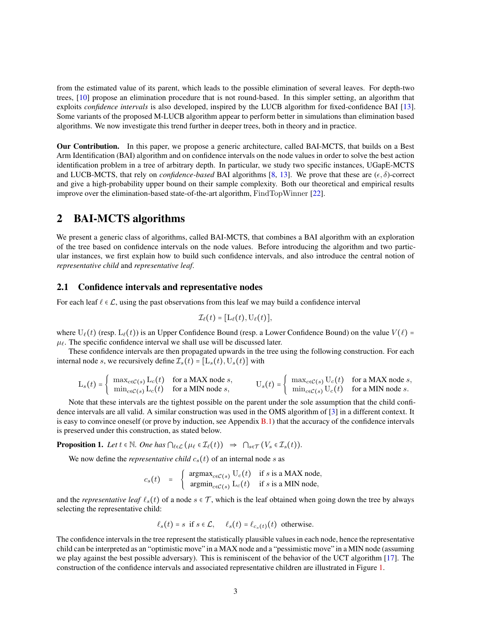from the estimated value of its parent, which leads to the possible elimination of several leaves. For depth-two trees, [\[10\]](#page-9-1) propose an elimination procedure that is not round-based. In this simpler setting, an algorithm that exploits *confidence intervals* is also developed, inspired by the LUCB algorithm for fixed-confidence BAI [\[13\]](#page-9-7). Some variants of the proposed M-LUCB algorithm appear to perform better in simulations than elimination based algorithms. We now investigate this trend further in deeper trees, both in theory and in practice.

Our Contribution. In this paper, we propose a generic architecture, called BAI-MCTS, that builds on a Best Arm Identification (BAI) algorithm and on confidence intervals on the node values in order to solve the best action identification problem in a tree of arbitrary depth. In particular, we study two specific instances, UGapE-MCTS and LUCB-MCTS, that rely on *confidence-based* BAI algorithms [\[8,](#page-9-8) [13\]](#page-9-7). We prove that these are  $(\epsilon, \delta)$ -correct and give a high-probability upper bound on their sample complexity. Both our theoretical and empirical results improve over the elimination-based state-of-the-art algorithm, FindTopWinner [\[22\]](#page-10-2).

# 2 BAI-MCTS algorithms

We present a generic class of algorithms, called BAI-MCTS, that combines a BAI algorithm with an exploration of the tree based on confidence intervals on the node values. Before introducing the algorithm and two particular instances, we first explain how to build such confidence intervals, and also introduce the central notion of *representative child* and *representative leaf*.

#### 2.1 Confidence intervals and representative nodes

For each leaf  $\ell \in \mathcal{L}$ , using the past observations from this leaf we may build a confidence interval

$$
\mathcal{I}_{\ell}(t)=[\mathrm{L}_{\ell}(t),\mathrm{U}_{\ell}(t)],
$$

where  $U_{\ell}(t)$  (resp.  $L_{\ell}(t)$ ) is an Upper Confidence Bound (resp. a Lower Confidence Bound) on the value  $V(\ell)$  =  $\mu_{\ell}$ . The specific confidence interval we shall use will be discussed later.

These confidence intervals are then propagated upwards in the tree using the following construction. For each internal node s, we recursively define  $\mathcal{I}_s(t) = [L_s(t), U_s(t)]$  with

$$
L_s(t) = \begin{cases} \max_{c \in \mathcal{C}(s)} L_c(t) & \text{for a MAX node } s, \\ \min_{c \in \mathcal{C}(s)} L_c(t) & \text{for a MIN node } s, \end{cases} \qquad \qquad U_s(t) = \begin{cases} \max_{c \in \mathcal{C}(s)} U_c(t) & \text{for a MAX node } s, \\ \min_{c \in \mathcal{C}(s)} U_c(t) & \text{for a MIN node } s. \end{cases}
$$

Note that these intervals are the tightest possible on the parent under the sole assumption that the child confidence intervals are all valid. A similar construction was used in the OMS algorithm of [\[3\]](#page-9-9) in a different context. It is easy to convince oneself (or prove by induction, see Appendix  $B(1)$ ) that the accuracy of the confidence intervals is preserved under this construction, as stated below.

<span id="page-2-0"></span>**Proposition 1.** Let  $t \in \mathbb{N}$ . One has  $\bigcap_{\ell \in \mathcal{L}} (\mu_{\ell} \in \mathcal{I}_{\ell}(t)) \Rightarrow \bigcap_{s \in \mathcal{T}} (V_s \in \mathcal{I}_{s}(t))$ .

We now define the *representative child*  $c_s(t)$  of an internal node s as

$$
c_s(t) = \begin{cases} \operatorname{argmax}_{c \in \mathcal{C}(s)} \mathrm{U}_c(t) & \text{if } s \text{ is a MAX node,} \\ \operatorname{argmin}_{c \in \mathcal{C}(s)} \mathrm{L}_c(t) & \text{if } s \text{ is a MIN node,} \end{cases}
$$

and the *representative leaf*  $\ell_s(t)$  of a node  $s \in \mathcal{T}$ , which is the leaf obtained when going down the tree by always selecting the representative child:

$$
\ell_s(t) = s
$$
 if  $s \in \mathcal{L}$ ,  $\ell_s(t) = \ell_{c_s(t)}(t)$  otherwise.

The confidence intervals in the tree represent the statistically plausible values in each node, hence the representative child can be interpreted as an "optimistic move" in a MAX node and a "pessimistic move" in a MIN node (assuming we play against the best possible adversary). This is reminiscent of the behavior of the UCT algorithm [\[17\]](#page-10-5). The construction of the confidence intervals and associated representative children are illustrated in Figure [1.](#page-3-0)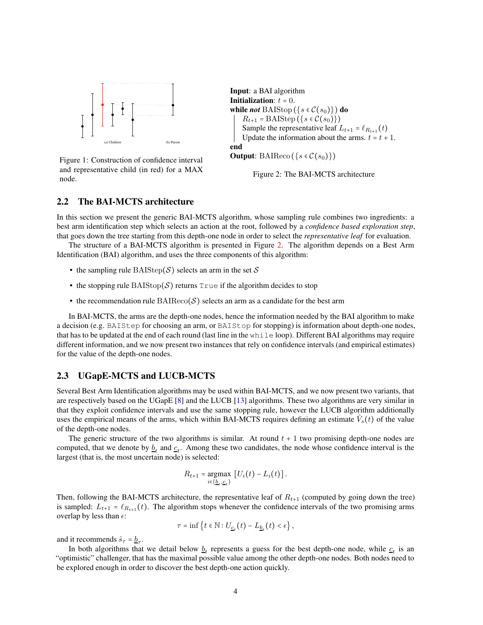

<span id="page-3-0"></span>Figure 1: Construction of confidence interval and representative child (in red) for a MAX node.

Input: a BAI algorithm **Initialization:**  $t = 0$ . while *not* BAIStop ( $\{s \in C(s_0)\}\)$  do  $R_{t+1} = \text{BAIStep}(\{s \in \mathcal{C}(s_0)\})$ Sample the representative leaf  $L_{t+1} = \ell_{R_{t+1}}(t)$ Update the information about the arms.  $t = t + 1$ . end **Output:** BAIReco ( $\{s \in C(s_0)\}\$ )

<span id="page-3-1"></span>Figure 2: The BAI-MCTS architecture

### 2.2 The BAI-MCTS architecture

In this section we present the generic BAI-MCTS algorithm, whose sampling rule combines two ingredients: a best arm identification step which selects an action at the root, followed by a *confidence based exploration step*, that goes down the tree starting from this depth-one node in order to select the *representative leaf* for evaluation.

The structure of a BAI-MCTS algorithm is presented in Figure [2.](#page-3-1) The algorithm depends on a Best Arm Identification (BAI) algorithm, and uses the three components of this algorithm:

- the sampling rule BAIStep(S) selects an arm in the set S
- the stopping rule  $\text{BAIStop}(\mathcal{S})$  returns  $\text{True}$  if the algorithm decides to stop
- the recommendation rule  $\text{BAIReco}(\mathcal{S})$  selects an arm as a candidate for the best arm

In BAI-MCTS, the arms are the depth-one nodes, hence the information needed by the BAI algorithm to make a decision (e.g. BAIStep for choosing an arm, or BAIStop for stopping) is information about depth-one nodes, that has to be updated at the end of each round (last line in the while loop). Different BAI algorithms may require different information, and we now present two instances that rely on confidence intervals (and empirical estimates) for the value of the depth-one nodes.

#### 2.3 UGapE-MCTS and LUCB-MCTS

Several Best Arm Identification algorithms may be used within BAI-MCTS, and we now present two variants, that are respectively based on the UGapE [\[8\]](#page-9-8) and the LUCB [\[13\]](#page-9-7) algorithms. These two algorithms are very similar in that they exploit confidence intervals and use the same stopping rule, however the LUCB algorithm additionally uses the empirical means of the arms, which within BAI-MCTS requires defining an estimate  $\hat{V}_s(t)$  of the value of the depth-one nodes.

The generic structure of the two algorithms is similar. At round  $t + 1$  two promising depth-one nodes are computed, that we denote by  $\underline{b}_t$  and  $\underline{c}_t$ . Among these two candidates, the node whose confidence interval is the largest (that is, the most uncertain node) is selected:

$$
R_{t+1} = \underset{i \in \{ \underline{b}_t, \underline{c}_t \}}{\operatorname{argmax}} \left[ U_i(t) - L_i(t) \right].
$$

Then, following the BAI-MCTS architecture, the representative leaf of  $R_{t+1}$  (computed by going down the tree) is sampled:  $L_{t+1} = \ell_{R_{t+1}}(t)$ . The algorithm stops whenever the confidence intervals of the two promising arms overlap by less than  $\epsilon$ :

$$
\tau = \inf \left\{ t \in \mathbb{N} : U_{\underline{c}_t}(t) - L_{\underline{b}_t}(t) < \epsilon \right\},\
$$

and it recommends  $\hat{s}_{\tau} = \underline{b}_{\tau}$ .

In both algorithms that we detail below  $\underline{b}_t$  represents a guess for the best depth-one node, while  $\underline{c}_t$  is an "optimistic" challenger, that has the maximal possible value among the other depth-one nodes. Both nodes need to be explored enough in order to discover the best depth-one action quickly.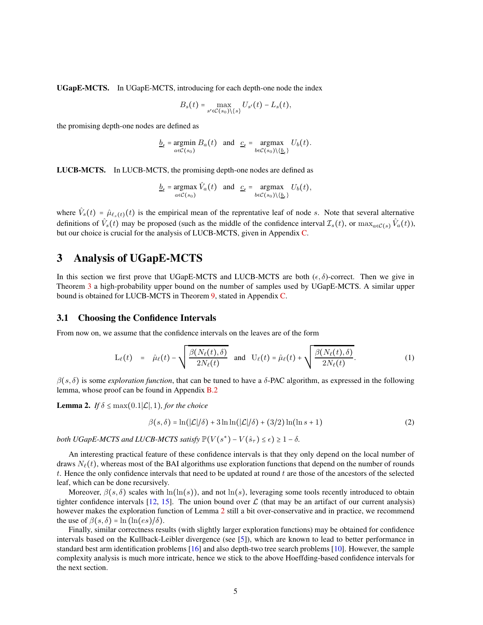UGapE-MCTS. In UGapE-MCTS, introducing for each depth-one node the index

$$
B_s(t) = \max_{s' \in \mathcal{C}(s_0) \setminus \{s\}} U_{s'}(t) - L_s(t),
$$

the promising depth-one nodes are defined as

$$
\underline{b}_t = \underset{a \in \mathcal{C}(s_0)}{\operatorname{argmin}} B_a(t) \quad \text{and} \quad \underline{c}_t = \underset{b \in \mathcal{C}(s_0)}{\operatorname{argmax}} U_b(t).
$$

LUCB-MCTS. In LUCB-MCTS, the promising depth-one nodes are defined as

$$
\underline{b}_t = \underset{a \in \mathcal{C}(s_0)}{\operatorname{argmax}} \hat{V}_a(t) \quad \text{and} \quad \underline{c}_t = \underset{b \in \mathcal{C}(s_0)}{\operatorname{argmax}} \; U_b(t),
$$

where  $\hat{V}_s(t) = \hat{\mu}_{\ell_s(t)}(t)$  is the empirical mean of the reprentative leaf of node s. Note that several alternative definitions of  $\hat{V}_s(t)$  may be proposed (such as the middle of the confidence interval  $\mathcal{I}_s(t)$ , or  $\max_{a \in \mathcal{C}(s)} \hat{V}_a(t)$ ), but our choice is crucial for the analysis of LUCB-MCTS, given in Appendix [C.](#page-12-0)

# 3 Analysis of UGapE-MCTS

In this section we first prove that UGapE-MCTS and LUCB-MCTS are both  $(\epsilon, \delta)$ -correct. Then we give in Theorem [3](#page-5-0) a high-probability upper bound on the number of samples used by UGapE-MCTS. A similar upper bound is obtained for LUCB-MCTS in Theorem [9,](#page-12-1) stated in Appendix [C.](#page-12-0)

#### 3.1 Choosing the Confidence Intervals

From now on, we assume that the confidence intervals on the leaves are of the form

<span id="page-4-2"></span>
$$
L_{\ell}(t) = \hat{\mu}_{\ell}(t) - \sqrt{\frac{\beta(N_{\ell}(t), \delta)}{2N_{\ell}(t)}} \text{ and } U_{\ell}(t) = \hat{\mu}_{\ell}(t) + \sqrt{\frac{\beta(N_{\ell}(t), \delta)}{2N_{\ell}(t)}}.
$$
 (1)

 $\beta(s,\delta)$  is some *exploration function*, that can be tuned to have a  $\delta$ -PAC algorithm, as expressed in the following lemma, whose proof can be found in Appendix [B.2](#page-12-2)

<span id="page-4-0"></span>**Lemma 2.** *If*  $\delta \leq \max(0.1|\mathcal{L}|, 1)$ *, for the choice* 

<span id="page-4-1"></span>
$$
\beta(s,\delta) = \ln(|\mathcal{L}|/\delta) + 3\ln\ln(|\mathcal{L}|/\delta) + (3/2)\ln(\ln s + 1)
$$
\n(2)

*both UGapE-MCTS and LUCB-MCTS satisfy*  $\mathbb{P}(V(s^*) - V(\hat{s}_\tau) \le \epsilon) \ge 1 - \delta$ .

An interesting practical feature of these confidence intervals is that they only depend on the local number of draws  $N_{\ell}(t)$ , whereas most of the BAI algorithms use exploration functions that depend on the number of rounds  $t$ . Hence the only confidence intervals that need to be updated at round  $t$  are those of the ancestors of the selected leaf, which can be done recursively.

Moreover,  $\beta(s,\delta)$  scales with ln(ln(s)), and not ln(s), leveraging some tools recently introduced to obtain tighter confidence intervals [\[12,](#page-9-10) [15\]](#page-10-8). The union bound over  $\mathcal L$  (that may be an artifact of our current analysis) however makes the exploration function of Lemma [2](#page-4-0) still a bit over-conservative and in practice, we recommend the use of  $\beta(s,\delta) = \ln(\ln(es)/\delta)$ .

Finally, similar correctness results (with slightly larger exploration functions) may be obtained for confidence intervals based on the Kullback-Leibler divergence (see [\[5\]](#page-9-11)), which are known to lead to better performance in standard best arm identification problems [\[16\]](#page-10-9) and also depth-two tree search problems [\[10\]](#page-9-1). However, the sample complexity analysis is much more intricate, hence we stick to the above Hoeffding-based confidence intervals for the next section.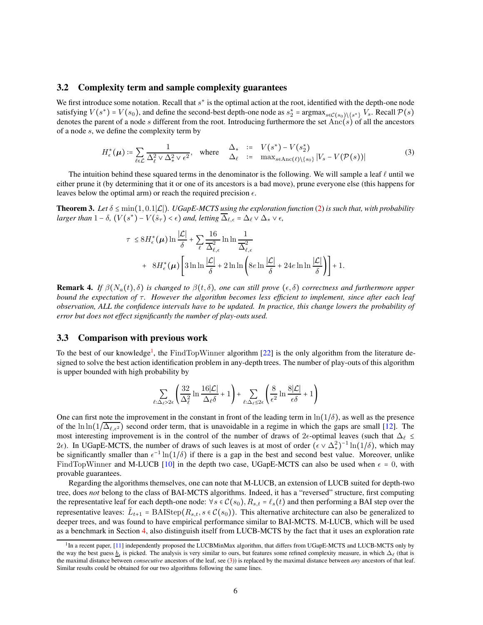#### 3.2 Complexity term and sample complexity guarantees

We first introduce some notation. Recall that  $s^*$  is the optimal action at the root, identified with the depth-one node satisfying  $V(s^*) = V(s_0)$ , and define the second-best depth-one node as  $s_2^* = \argmax_{s \in C(s_0) \setminus \{s^*\}} V_s$ . Recall  $\mathcal{P}(s)$ denotes the parent of a node s different from the root. Introducing furthermore the set Anc(s) of all the ancestors of a node s, we define the complexity term by

<span id="page-5-2"></span>
$$
H_{\epsilon}^{*}(\boldsymbol{\mu}) \coloneqq \sum_{\ell \in \mathcal{L}} \frac{1}{\Delta_{\ell}^{2} \vee \Delta_{*}^{2} \vee \epsilon^{2}}, \quad \text{where} \quad \Delta_{*} \quad \coloneqq \quad \frac{\Delta_{*}}{\Delta_{\ell}} \quad \coloneqq \quad \frac{V(s^{*}) - V(s_{2}^{*})}{\max_{s \in \text{Anc}(\ell) \setminus \{s_{0}\}} |V_{s} - V(\mathcal{P}(s))|} \tag{3}
$$

The intuition behind these squared terms in the denominator is the following. We will sample a leaf  $\ell$  until we either prune it (by determining that it or one of its ancestors is a bad move), prune everyone else (this happens for leaves below the optimal arm) or reach the required precision  $\epsilon$ .

<span id="page-5-0"></span>**Theorem 3.** Let  $\delta$  ≤ min(1,0.1|L|). UGapE-MCTS using the exploration function [\(2\)](#page-4-1) is such that, with probability *larger than*  $1 - \delta$ ,  $(V(s^*) - V(\hat{s}_\tau) < \epsilon)$  *and, letting*  $\overline{\Delta}_{\ell, \epsilon} = \Delta_{\ell} \vee \Delta_* \vee \epsilon$ ,

$$
\tau \leq 8H_{\epsilon}^{*}(\mu) \ln \frac{|\mathcal{L}|}{\delta} + \sum_{\ell} \frac{16}{\overline{\Delta}_{\ell,\epsilon}^{2}} \ln \ln \frac{1}{\overline{\Delta}_{\ell,\epsilon}^{2}} + 8H_{\epsilon}^{*}(\mu) \left[ 3 \ln \ln \frac{|\mathcal{L}|}{\delta} + 2 \ln \ln \left( 8e \ln \frac{|\mathcal{L}|}{\delta} + 24e \ln \ln \frac{|\mathcal{L}|}{\delta} \right) \right] + 1.
$$

**Remark 4.** *If*  $\beta(N_a(t), \delta)$  *is changed to*  $\beta(t, \delta)$ *, one can still prove*  $(\epsilon, \delta)$  *correctness and furthermore upper bound the expectation of* τ*. However the algorithm becomes less efficient to implement, since after each leaf observation, ALL the confidence intervals have to be updated. In practice, this change lowers the probability of error but does not effect significantly the number of play-outs used.*

### <span id="page-5-3"></span>3.3 Comparison with previous work

To the best of our knowledge<sup>[1](#page-5-1)</sup>, the FindTopWinner algorithm [\[22\]](#page-10-2) is the only algorithm from the literature designed to solve the best action identification problem in any-depth trees. The number of play-outs of this algorithm is upper bounded with high probability by

$$
\sum_{\ell:\Delta_{\ell}>2\epsilon} \left( \frac{32}{\Delta_{\ell}^2} \ln \frac{16|\mathcal{L}|}{\Delta_{\ell}\delta} + 1 \right) + \sum_{\ell:\Delta_{\ell}\leq 2\epsilon} \left( \frac{8}{\epsilon^2} \ln \frac{8|\mathcal{L}|}{\epsilon\delta} + 1 \right)
$$

One can first note the improvement in the constant in front of the leading term in  $\ln(1/\delta)$ , as well as the presence of the ln ln( $1/\Delta_{\ell,\epsilon^2}$ ) second order term, that is unavoidable in a regime in which the gaps are small [\[12\]](#page-9-10). The most interesting improvement is in the control of the number of draws of 2 $\epsilon$ -optimal leaves (such that  $\Delta_\ell \leq$ 2 $\epsilon$ ). In UGapE-MCTS, the number of draws of such leaves is at most of order  $(\epsilon \vee \Delta^2_*)^{-1} \ln(1/\delta)$ , which may be significantly smaller than  $\epsilon^{-1} \ln(1/\delta)$  if there is a gap in the best and second best value. Moreover, unlike FindTopWinner and M-LUCB [\[10\]](#page-9-1) in the depth two case, UGapE-MCTS can also be used when  $\epsilon = 0$ , with provable guarantees.

Regarding the algorithms themselves, one can note that M-LUCB, an extension of LUCB suited for depth-two tree, does *not* belong to the class of BAI-MCTS algorithms. Indeed, it has a "reversed" structure, first computing the representative leaf for each depth-one node:  $\forall s \in C(s_0), R_{s,t} = \ell_s(t)$  and then performing a BAI step over the representative leaves:  $\tilde{L}_{t+1} = \text{BAIStep}(R_{s,t}, s \in \mathcal{C}(s_0))$ . This alternative architecture can also be generalized to deeper trees, and was found to have empirical performance similar to BAI-MCTS. M-LUCB, which will be used as a benchmark in Section [4,](#page-7-0) also distinguish itself from LUCB-MCTS by the fact that it uses an exploration rate

<span id="page-5-1"></span><sup>&</sup>lt;sup>1</sup>In a recent paper, [\[11\]](#page-9-12) independently proposed the LUCBMinMax algorithm, that differs from UGapE-MCTS and LUCB-MCTS only by the way the best guess  $\underline{b}_t$  is picked. The analysis is very similar to ours, but features some refined complexity measure, in which  $\Delta_\ell$  (that is the maximal distance between *consecutive* ancestors of the leaf, see [\(3\)](#page-5-2)) is replaced by the maximal distance between *any* ancestors of that leaf. Similar results could be obtained for our two algorithms following the same lines.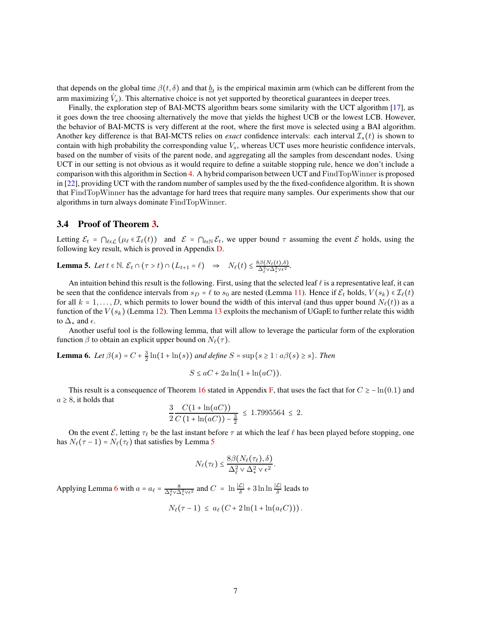that depends on the global time  $\beta(t, \delta)$  and that  $\underline{b}_t$  is the empirical maximin arm (which can be different from the arm maximizing  $\hat{V}_s$ ). This alternative choice is not yet supported by theoretical guarantees in deeper trees.

Finally, the exploration step of BAI-MCTS algorithm bears some similarity with the UCT algorithm [\[17\]](#page-10-5), as it goes down the tree choosing alternatively the move that yields the highest UCB or the lowest LCB. However, the behavior of BAI-MCTS is very different at the root, where the first move is selected using a BAI algorithm. Another key difference is that BAI-MCTS relies on *exact* confidence intervals: each interval  $\mathcal{I}_s(t)$  is shown to contain with high probability the corresponding value  $V_s$ , whereas UCT uses more heuristic confidence intervals, based on the number of visits of the parent node, and aggregating all the samples from descendant nodes. Using UCT in our setting is not obvious as it would require to define a suitable stopping rule, hence we don't include a comparison with this algorithm in Section [4.](#page-7-0) A hybrid comparison between UCT and FindTopWinner is proposed in [\[22\]](#page-10-2), providing UCT with the random number of samples used by the the fixed-confidence algorithm. It is shown that FindTopWinner has the advantage for hard trees that require many samples. Our experiments show that our algorithms in turn always dominate FindTopWinner.

#### 3.4 Proof of Theorem [3.](#page-5-0)

Letting  $\mathcal{E}_t = \bigcap_{\ell \in \mathcal{L}} (\mu_\ell \in \mathcal{I}_\ell(t))$  and  $\mathcal{E} = \bigcap_{t \in \mathbb{N}} \mathcal{E}_t$ , we upper bound  $\tau$  assuming the event  $\mathcal{E}$  holds, using the following key result, which is proved in Appendix [D.](#page-13-0)

<span id="page-6-0"></span>**Lemma 5.** Let  $t \in \mathbb{N}$ .  $\mathcal{E}_t \cap (\tau > t) \cap (L_{t+1} = \ell) \Rightarrow N_{\ell}(t) \leq \frac{8\beta(N_{\ell}(t),\delta)}{\Delta_{\ell}^2 \vee \Delta_{\tau}^2 \vee \epsilon^2}$ .

An intuition behind this result is the following. First, using that the selected leaf  $\ell$  is a representative leaf, it can be seen that the confidence intervals from  $s_D = \ell$  to  $s_0$  are nested (Lemma [11\)](#page-13-1). Hence if  $\mathcal{E}_t$  holds,  $V(s_k) \in \mathcal{I}_{\ell}(t)$ for all  $k = 1, \ldots, D$ , which permits to lower bound the width of this interval (and thus upper bound  $N_{\ell}(t)$ ) as a function of the  $V(s_k)$  (Lemma [12\)](#page-13-2). Then Lemma [13](#page-13-3) exploits the mechanism of UGapE to further relate this width to  $\Delta_*$  and  $\epsilon$ .

Another useful tool is the following lemma, that will allow to leverage the particular form of the exploration function  $\beta$  to obtain an explicit upper bound on  $N_{\ell}(\tau)$ .

<span id="page-6-1"></span>**Lemma 6.** *Let*  $\beta(s) = C + \frac{3}{2} \ln(1 + \ln(s))$  *and define*  $S = \sup\{s \ge 1 : a\beta(s) \ge s\}$ *. Then* 

$$
S \le aC + 2a\ln(1 + \ln(aC)).
$$

This result is a consequence of Theorem [16](#page-21-0) stated in Appendix [F,](#page-21-1) that uses the fact that for  $C \ge -\ln(0.1)$  and  $a \geq 8$ , it holds that

$$
\frac{3}{2}\frac{C(1+\ln(aC))}{C(1+\ln(aC))-\frac{3}{2}} \le 1.7995564 \le 2.
$$

On the event  $\mathcal E$ , letting  $\tau_\ell$  be the last instant before  $\tau$  at which the leaf  $\ell$  has been played before stopping, one has  $N_{\ell}(\tau - 1) = N_{\ell}(\tau_{\ell})$  that satisfies by Lemma [5](#page-6-0)

$$
N_{\ell}(\tau_{\ell}) \leq \frac{8\beta(N_{\ell}(\tau_{\ell}),\delta)}{\Delta_{\ell}^2 \vee \Delta_{*}^2 \vee \epsilon^2}.
$$

Applying Lemma [6](#page-6-1) with  $a = a_\ell = \frac{8}{\Delta_\ell^2 \vee \Delta_\star^2 \vee \epsilon^2}$  and  $C = \ln \frac{|\mathcal{L}|}{\delta} + 3 \ln \ln \frac{|\mathcal{L}|}{\delta}$  leads to

$$
N_{\ell}(\tau-1) \leq a_{\ell} (C + 2\ln(1 + \ln(a_{\ell}C))).
$$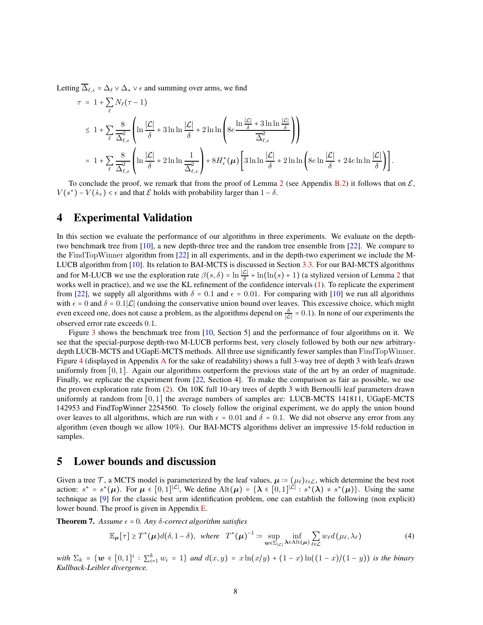Letting  $\overline{\Delta}_{\ell,\epsilon} = \Delta_{\ell} \vee \Delta_{\star} \vee \epsilon$  and summing over arms, we find

$$
\tau = 1 + \sum_{\ell} N_{\ell}(\tau - 1)
$$
\n
$$
\leq 1 + \sum_{\ell} \frac{8}{\Delta_{\ell,\epsilon}} \left( \ln \frac{|\mathcal{L}|}{\delta} + 3 \ln \ln \frac{|\mathcal{L}|}{\delta} + 2 \ln \ln \left( 8e^{\frac{\ln \frac{|\mathcal{L}|}{\delta} + 3 \ln \ln \frac{|\mathcal{L}|}{\delta}}{\Delta_{\ell,\epsilon}^2}} \right) \right)
$$
\n
$$
= 1 + \sum_{\ell} \frac{8}{\Delta_{\ell,\epsilon}} \left( \ln \frac{|\mathcal{L}|}{\delta} + 2 \ln \ln \frac{1}{\Delta_{\ell,\epsilon}^2} \right) + 8H_{\epsilon}^*(\mu) \left[ 3 \ln \ln \frac{|\mathcal{L}|}{\delta} + 2 \ln \ln \left( 8e^{\frac{|\mathcal{L}|}{\delta}} + 24e^{\frac{|\mathcal{L}|}{\delta}} \right) \right].
$$

To conclude the proof, we remark that from the proof of Lemma [2](#page-4-0) (see Appendix [B.2\)](#page-12-2) it follows that on  $\mathcal{E}$ ,  $V(s^*) - V(\hat{s}_\tau) < \epsilon$  and that  $\mathcal E$  holds with probability larger than  $1 - \delta$ .

## <span id="page-7-0"></span>4 Experimental Validation

In this section we evaluate the performance of our algorithms in three experiments. We evaluate on the depthtwo benchmark tree from [\[10\]](#page-9-1), a new depth-three tree and the random tree ensemble from [\[22\]](#page-10-2). We compare to the FindTopWinner algorithm from [\[22\]](#page-10-2) in all experiments, and in the depth-two experiment we include the M-LUCB algorithm from [\[10\]](#page-9-1). Its relation to BAI-MCTS is discussed in Section [3.3.](#page-5-3) For our BAI-MCTS algorithms and for M-LUCB we use the exploration rate  $\beta(s,\delta) = \ln \frac{|\mathcal{L}|}{\delta} + \ln(\ln(s) + 1)$  (a stylized version of Lemma [2](#page-4-0) that works well in practice), and we use the KL refinement of the confidence intervals [\(1\)](#page-4-2). To replicate the experiment from [\[22\]](#page-10-2), we supply all algorithms with  $\delta = 0.1$  and  $\epsilon = 0.01$ . For comparing with [\[10\]](#page-9-1) we run all algorithms with  $\epsilon = 0$  and  $\delta = 0.1|\mathcal{L}|$  (undoing the conservative union bound over leaves. This excessive choice, which might even exceed one, does not cause a problem, as the algorithms depend on  $\frac{\delta}{|\mathcal{L}|} = 0.1$ ). In none of our experiments the observed error rate exceeds 0.1.

Figure [3](#page-8-0) shows the benchmark tree from [\[10,](#page-9-1) Section 5] and the performance of four algorithms on it. We see that the special-purpose depth-two M-LUCB performs best, very closely followed by both our new arbitrarydepth LUCB-MCTS and UGapE-MCTS methods. All three use significantly fewer samples than FindTopWinner. Figure [4](#page-11-0) (displayed in Appendix [A](#page-10-10) for the sake of readability) shows a full 3-way tree of depth 3 with leafs drawn uniformly from  $[0, 1]$ . Again our algorithms outperform the previous state of the art by an order of magnitude. Finally, we replicate the experiment from [\[22,](#page-10-2) Section 4]. To make the comparison as fair as possible, we use the proven exploration rate from [\(2\)](#page-4-1). On 10K full 10-ary trees of depth 3 with Bernoulli leaf parameters drawn uniformly at random from  $[0, 1]$  the average numbers of samples are: LUCB-MCTS 141811, UGapE-MCTS 142953 and FindTopWinner 2254560. To closely follow the original experiment, we do apply the union bound over leaves to all algorithms, which are run with  $\epsilon = 0.01$  and  $\delta = 0.1$ . We did not observe any error from any algorithm (even though we allow 10%). Our BAI-MCTS algorithms deliver an impressive 15-fold reduction in samples.

## 5 Lower bounds and discussion

Given a tree T, a MCTS model is parameterized by the leaf values,  $\mu := (\mu_{\ell})_{\ell \in \mathcal{L}}$ , which determine the best root action:  $s^* = s^*(\mu)$ . For  $\mu \in [0,1]^{|\mathcal{L}|}$ , We define  $\mathrm{Alt}(\mu) = {\lambda \in [0,1]^{|\mathcal{L}|} : s^*(\lambda) \neq s^*(\mu)}$ . Using the same technique as [\[9\]](#page-9-13) for the classic best arm identification problem, one can establish the following (non explicit) lower bound. The proof is given in Appendix [E.](#page-19-0)

<span id="page-7-1"></span>**Theorem 7.** Assume  $\epsilon = 0$ . Any  $\delta$ -correct algorithm satisfies

<span id="page-7-2"></span>
$$
\mathbb{E}_{\mu}[\tau] \geq T^*(\mu)d(\delta, 1-\delta), \text{ where } T^*(\mu)^{-1} \coloneqq \sup_{\boldsymbol{w}\in\Sigma_{|\mathcal{L}|}} \inf_{\boldsymbol{\lambda}\in\mathrm{Alt}(\mu)} \sum_{\ell\in\mathcal{L}} w_{\ell}d(\mu_{\ell}, \lambda_{\ell})
$$
(4)

 $with \ \Sigma_k = \{w \in [0,1]^i : \sum_{i=1}^k w_i = 1\} \ and \ d(x,y) = x\ln(x/y) + (1-x)\ln((1-x)/(1-y)) \ is \ the \ binary \}$ *Kullback-Leibler divergence.*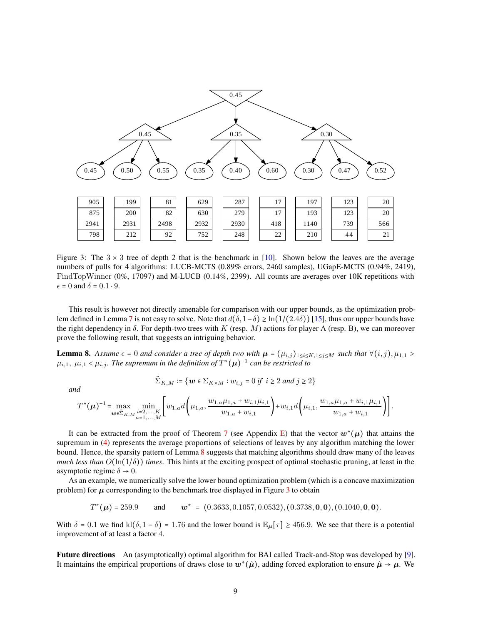

<span id="page-8-0"></span>Figure 3: The  $3 \times 3$  tree of depth 2 that is the benchmark in [\[10\]](#page-9-1). Shown below the leaves are the average numbers of pulls for 4 algorithms: LUCB-MCTS (0.89% errors, 2460 samples), UGapE-MCTS (0.94%, 2419), FindTopWinner (0%, 17097) and M-LUCB (0.14%, 2399). All counts are averages over 10K repetitions with  $\epsilon = 0$  and  $\delta = 0.1 \cdot 9$ .

This result is however not directly amenable for comparison with our upper bounds, as the optimization prob-lem defined in Lemma [7](#page-7-1) is not easy to solve. Note that  $d(\delta, 1-\delta) \geq \ln(1/(2.4\delta))$  [\[15\]](#page-10-8), thus our upper bounds have the right dependency in  $\delta$ . For depth-two trees with K (resp. M) actions for player A (resp. B), we can moreover prove the following result, that suggests an intriguing behavior.

<span id="page-8-1"></span>**Lemma 8.** Assume  $\epsilon = 0$  and consider a tree of depth two with  $\mu = (\mu_{i,j})_{1 \le i \le K, 1 \le j \le M}$  such that  $\forall (i,j), \mu_{1,1} >$  $\mu_{i,1}, \mu_{i,1} < \mu_{i,j}$ . The supremum in the definition of  $T^*(\mu)^{-1}$  can be restricted to

$$
\tilde{\Sigma}_{K,M} \coloneqq \{ \boldsymbol{w} \in \Sigma_{K \times M} : w_{i,j} = 0 \text{ if } i \geq 2 \text{ and } j \geq 2 \}
$$

*and*

$$
T^{*}(\mu)^{-1} = \max_{\mathbf{w}\in \Sigma_{K,M}} \min_{\substack{i=2,\ldots,K \\ a=1,\ldots,M}} \left[ w_{1,a} d\left(\mu_{1,a}, \frac{w_{1,a}\mu_{1,a} + w_{i,1}\mu_{i,1}}{w_{1,a} + w_{i,1}}\right) + w_{i,1} d\left(\mu_{i,1}, \frac{w_{1,a}\mu_{1,a} + w_{i,1}\mu_{i,1}}{w_{1,a} + w_{i,1}}\right) \right].
$$

It can be extracted from the proof of Theorem [7](#page-7-1) (see Appendix [E\)](#page-19-0) that the vector  $w^*(\mu)$  that attains the supremum in [\(4\)](#page-7-2) represents the average proportions of selections of leaves by any algorithm matching the lower bound. Hence, the sparsity pattern of Lemma [8](#page-8-1) suggests that matching algorithms should draw many of the leaves *much less than*  $O(\ln(1/\delta))$  *times*. This hints at the exciting prospect of optimal stochastic pruning, at least in the asymptotic regime  $\delta \rightarrow 0$ .

As an example, we numerically solve the lower bound optimization problem (which is a concave maximization problem) for  $\mu$  corresponding to the benchmark tree displayed in Figure [3](#page-8-0) to obtain

 $T^*(\mu) = 259.9$  and w \* =  $(0.3633, 0.1057, 0.0532), (0.3738, \mathbf{0}, \mathbf{0}), (0.1040, \mathbf{0}, \mathbf{0}).$ 

With  $\delta = 0.1$  we find kl( $\delta$ , 1 –  $\delta$ ) = 1.76 and the lower bound is  $\mathbb{E}_{\mu}[\tau] \ge 456.9$ . We see that there is a potential improvement of at least a factor 4.

Future directions An (asymptotically) optimal algorithm for BAI called Track-and-Stop was developed by [\[9\]](#page-9-13). It maintains the empirical proportions of draws close to  $w^*(\hat{\mu})$ , adding forced exploration to ensure  $\hat{\mu} \to \mu$ . We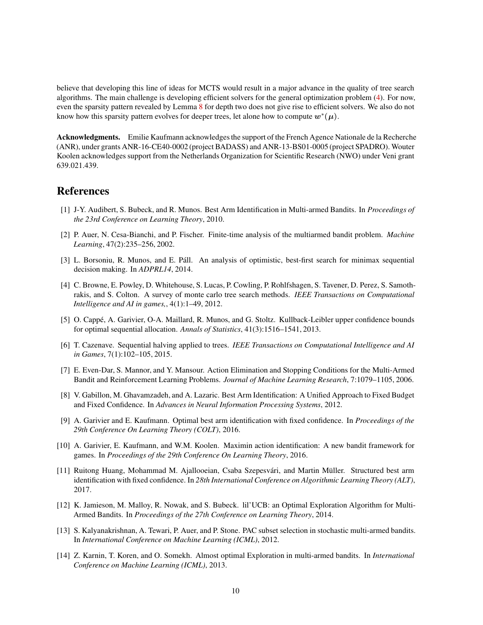believe that developing this line of ideas for MCTS would result in a major advance in the quality of tree search algorithms. The main challenge is developing efficient solvers for the general optimization problem [\(4\)](#page-7-2). For now, even the sparsity pattern revealed by Lemma [8](#page-8-1) for depth two does not give rise to efficient solvers. We also do not know how this sparsity pattern evolves for deeper trees, let alone how to compute  $\bm{w}^*(\bm{\mu}).$ 

Acknowledgments. Emilie Kaufmann acknowledges the support of the French Agence Nationale de la Recherche (ANR), under grants ANR-16-CE40-0002 (project BADASS) and ANR-13-BS01-0005 (project SPADRO). Wouter Koolen acknowledges support from the Netherlands Organization for Scientific Research (NWO) under Veni grant 639.021.439.

# <span id="page-9-6"></span>References

- <span id="page-9-3"></span>[1] J-Y. Audibert, S. Bubeck, and R. Munos. Best Arm Identification in Multi-armed Bandits. In *Proceedings of the 23rd Conference on Learning Theory*, 2010.
- [2] P. Auer, N. Cesa-Bianchi, and P. Fischer. Finite-time analysis of the multiarmed bandit problem. *Machine Learning*, 47(2):235–256, 2002.
- <span id="page-9-9"></span>[3] L. Borsoniu, R. Munos, and E. Páll. An analysis of optimistic, best-first search for minimax sequential decision making. In *ADPRL14*, 2014.
- <span id="page-9-0"></span>[4] C. Browne, E. Powley, D. Whitehouse, S. Lucas, P. Cowling, P. Rohlfshagen, S. Tavener, D. Perez, S. Samothrakis, and S. Colton. A survey of monte carlo tree search methods. *IEEE Transactions on Computational Intelligence and AI in games,*, 4(1):1–49, 2012.
- <span id="page-9-11"></span>[5] O. Cappé, A. Garivier, O-A. Maillard, R. Munos, and G. Stoltz. Kullback-Leibler upper confidence bounds for optimal sequential allocation. *Annals of Statistics*, 41(3):1516–1541, 2013.
- <span id="page-9-4"></span><span id="page-9-2"></span>[6] T. Cazenave. Sequential halving applied to trees. *IEEE Transactions on Computational Intelligence and AI in Games*, 7(1):102–105, 2015.
- [7] E. Even-Dar, S. Mannor, and Y. Mansour. Action Elimination and Stopping Conditions for the Multi-Armed Bandit and Reinforcement Learning Problems. *Journal of Machine Learning Research*, 7:1079–1105, 2006.
- <span id="page-9-8"></span>[8] V. Gabillon, M. Ghavamzadeh, and A. Lazaric. Best Arm Identification: A Unified Approach to Fixed Budget and Fixed Confidence. In *Advances in Neural Information Processing Systems*, 2012.
- <span id="page-9-13"></span>[9] A. Garivier and E. Kaufmann. Optimal best arm identification with fixed confidence. In *Proceedings of the 29th Conference On Learning Theory (COLT)*, 2016.
- <span id="page-9-1"></span>[10] A. Garivier, E. Kaufmann, and W.M. Koolen. Maximin action identification: A new bandit framework for games. In *Proceedings of the 29th Conference On Learning Theory*, 2016.
- <span id="page-9-12"></span>[11] Ruitong Huang, Mohammad M. Ajallooeian, Csaba Szepesvári, and Martin Müller. Structured best arm identification with fixed confidence. In *28th International Conference on Algorithmic Learning Theory (ALT)*, 2017.
- <span id="page-9-10"></span>[12] K. Jamieson, M. Malloy, R. Nowak, and S. Bubeck. lil'UCB: an Optimal Exploration Algorithm for Multi-Armed Bandits. In *Proceedings of the 27th Conference on Learning Theory*, 2014.
- <span id="page-9-7"></span>[13] S. Kalyanakrishnan, A. Tewari, P. Auer, and P. Stone. PAC subset selection in stochastic multi-armed bandits. In *International Conference on Machine Learning (ICML)*, 2012.
- <span id="page-9-5"></span>[14] Z. Karnin, T. Koren, and O. Somekh. Almost optimal Exploration in multi-armed bandits. In *International Conference on Machine Learning (ICML)*, 2013.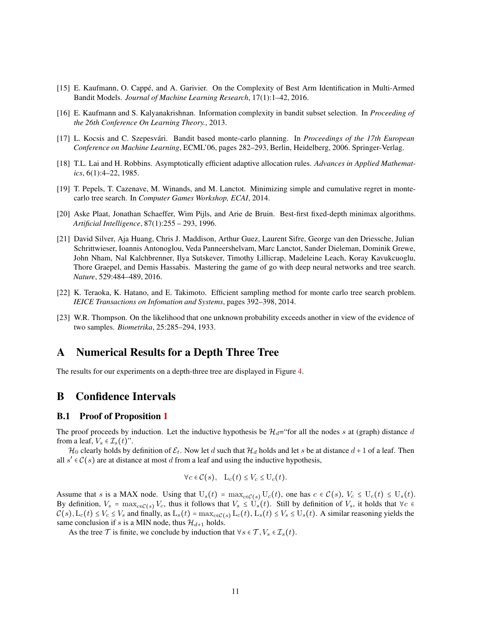- <span id="page-10-9"></span><span id="page-10-8"></span>[15] E. Kaufmann, O. Cappé, and A. Garivier. On the Complexity of Best Arm Identification in Multi-Armed Bandit Models. *Journal of Machine Learning Research*, 17(1):1–42, 2016.
- <span id="page-10-5"></span>[16] E. Kaufmann and S. Kalyanakrishnan. Information complexity in bandit subset selection. In *Proceeding of the 26th Conference On Learning Theory.*, 2013.
- <span id="page-10-4"></span>[17] L. Kocsis and C. Szepesvári. Bandit based monte-carlo planning. In *Proceedings of the 17th European Conference on Machine Learning*, ECML'06, pages 282–293, Berlin, Heidelberg, 2006. Springer-Verlag.
- <span id="page-10-6"></span>[18] T.L. Lai and H. Robbins. Asymptotically efficient adaptive allocation rules. *Advances in Applied Mathematics*, 6(1):4–22, 1985.
- <span id="page-10-0"></span>[19] T. Pepels, T. Cazenave, M. Winands, and M. Lanctot. Minimizing simple and cumulative regret in montecarlo tree search. In *Computer Games Workshop, ECAI*, 2014.
- <span id="page-10-1"></span>[20] Aske Plaat, Jonathan Schaeffer, Wim Pijls, and Arie de Bruin. Best-first fixed-depth minimax algorithms. *Artificial Intelligence*, 87(1):255 – 293, 1996.
- [21] David Silver, Aja Huang, Chris J. Maddison, Arthur Guez, Laurent Sifre, George van den Driessche, Julian Schrittwieser, Ioannis Antonoglou, Veda Panneershelvam, Marc Lanctot, Sander Dieleman, Dominik Grewe, John Nham, Nal Kalchbrenner, Ilya Sutskever, Timothy Lillicrap, Madeleine Leach, Koray Kavukcuoglu, Thore Graepel, and Demis Hassabis. Mastering the game of go with deep neural networks and tree search. *Nature*, 529:484–489, 2016.
- <span id="page-10-3"></span><span id="page-10-2"></span>[22] K. Teraoka, K. Hatano, and E. Takimoto. Efficient sampling method for monte carlo tree search problem. *IEICE Transactions on Infomation and Systems*, pages 392–398, 2014.
- [23] W.R. Thompson. On the likelihood that one unknown probability exceeds another in view of the evidence of two samples. *Biometrika*, 25:285–294, 1933.

# <span id="page-10-10"></span>A Numerical Results for a Depth Three Tree

The results for our experiments on a depth-three tree are displayed in Figure [4.](#page-11-0)

# <span id="page-10-7"></span>B Confidence Intervals

### B.1 Proof of Proposition [1](#page-2-0)

The proof proceeds by induction. Let the inductive hypothesis be  $\mathcal{H}_d$ ="for all the nodes s at (graph) distance d from a leaf,  $V_s \in \mathcal{I}_s(t)$ ".

 $\mathcal{H}_0$  clearly holds by definition of  $\mathcal{E}_t$ . Now let d such that  $\mathcal{H}_d$  holds and let s be at distance  $d+1$  of a leaf. Then all  $s' \in C(s)$  are at distance at most d from a leaf and using the inductive hypothesis,

$$
\forall c \in \mathcal{C}(s), \quad \mathcal{L}_c(t) \leq V_c \leq \mathcal{U}_c(t).
$$

Assume that s is a MAX node. Using that  $U_s(t) = \max_{c \in \mathcal{C}(s)} U_c(t)$ , one has  $c \in \mathcal{C}(s)$ ,  $V_c \leq U_c(t) \leq U_s(t)$ . By definition,  $V_s = \max_{c \in \mathcal{C}(s)} V_c$ , thus it follows that  $V_s \le U_s(t)$ . Still by definition of  $V_s$ , it holds that ∀c ∈  $C(s)$ ,  $L_c(t) \le V_c \le V_s$  and finally, as  $L_s(t) = \max_{c \in C(s)} L_c(t)$ ,  $L_s(t) \le V_s \le U_s(t)$ . A similar reasoning yields the same conclusion if s is a MIN node, thus  $\mathcal{H}_{d+1}$  holds.

As the tree  $\mathcal T$  is finite, we conclude by induction that  $\forall s \in \mathcal T, V_s \in \mathcal I_s(t)$ .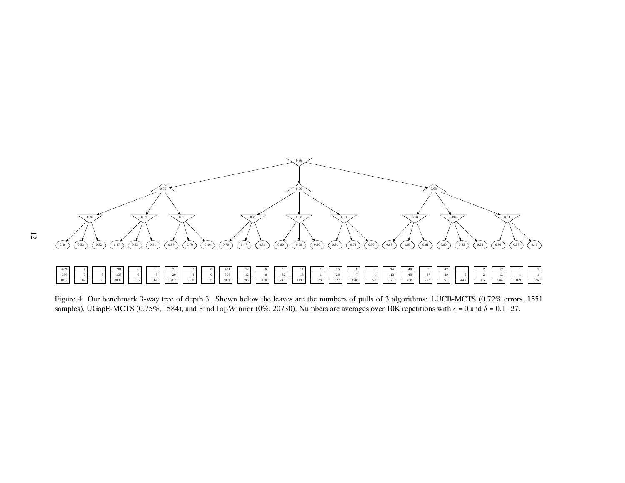

<span id="page-11-0"></span>Figure 4: Our benchmark 3-way tree of depth 3. Shown below the leaves are the numbers of pulls of <sup>3</sup> algorithms: LUCB-MCTS (0.72% errors, <sup>1551</sup>samples), UGapE-MCTS (0.75%, 1584), and FindTopWinner (0%, 20730). Numbers are averages over 10K repetitions with  $\epsilon$  = 0 and  $\delta$  = 0.1  $\cdot$  27.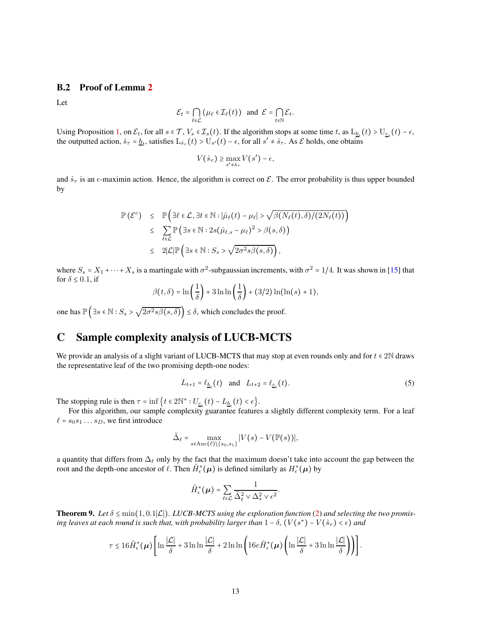### <span id="page-12-2"></span>B.2 Proof of Lemma [2](#page-4-0)

Let

$$
\mathcal{E}_t = \bigcap_{\ell \in \mathcal{L}} (\mu_\ell \in \mathcal{I}_\ell(t)) \text{ and } \mathcal{E} = \bigcap_{t \in \mathbb{N}} \mathcal{E}_t.
$$

Using Proposition [1,](#page-2-0) on  $\mathcal{E}_t$ , for all  $s \in \mathcal{T}$ ,  $V_s \in \mathcal{I}_s(t)$ . If the algorithm stops at some time t, as  $L_{\underline{b}_t}(t) > U_{\underline{c}_t}(t) - \epsilon$ , the outputted action,  $\hat{s}_{\tau} = \underline{b}_t$ , satisfies  $\text{L}_{\hat{s}_{\tau}}(t) > \text{U}_{s'}(t) - \epsilon$ , for all  $s' \neq \hat{s}_{\tau}$ . As  $\mathcal{E}$  holds, one obtains

$$
V(\hat{s}_{\tau}) \ge \max_{s' \neq \hat{s}_{\tau}} V(s') - \epsilon,
$$

and  $\hat{s}_{\tau}$  is an  $\epsilon$ -maximin action. Hence, the algorithm is correct on  $\mathcal{E}$ . The error probability is thus upper bounded by

$$
\mathbb{P}(\mathcal{E}^c) \leq \mathbb{P}\Big(\exists \ell \in \mathcal{L}, \exists t \in \mathbb{N} : |\hat{\mu}_{\ell}(t) - \mu_{\ell}| > \sqrt{\beta(N_{\ell}(t), \delta)/(2N_{\ell}(t))}\Big) \leq \sum_{\ell \in \mathcal{L}} \mathbb{P}\Big(\exists s \in \mathbb{N} : 2s(\hat{\mu}_{\ell,s} - \mu_{\ell})^2 > \beta(s, \delta)\Big) \leq 2|\mathcal{L}|\mathbb{P}\Big(\exists s \in \mathbb{N} : S_s > \sqrt{2\sigma^2 s \beta(s, \delta)}\Big),
$$

where  $S_s = X_1 + \cdots + X_s$  is a martingale with  $\sigma^2$ -subgaussian increments, with  $\sigma^2 = 1/4$ . It was shown in [\[15\]](#page-10-8) that for  $\delta$  < 0.1, if

$$
\beta(t,\delta) = \ln\left(\frac{1}{\delta}\right) + 3\ln\ln\left(\frac{1}{\delta}\right) + (3/2)\ln(\ln(s) + 1),
$$

one has  $\mathbb{P}\left(\exists s \in \mathbb{N}: S_s > \sqrt{2\sigma^2 s\beta(s,\delta)}\right) \leq \delta$ , which concludes the proof.

# <span id="page-12-0"></span>C Sample complexity analysis of LUCB-MCTS

We provide an analysis of a slight variant of LUCB-MCTS that may stop at even rounds only and for  $t \in 2N$  draws the representative leaf of the two promising depth-one nodes:

$$
L_{t+1} = \ell_{\underline{b}_t}(t) \quad \text{and} \quad L_{t+2} = \ell_{\underline{c}_t}(t). \tag{5}
$$

The stopping rule is then  $\tau = \inf \{ t \in 2\mathbb{N}^* : U_{\underline{c}_t}(t) - L_{\underline{b}_t}(t) < \epsilon \}.$ 

For this algorithm, our sample complexity guarantee features a slightly different complexity term. For a leaf  $\ell = s_0 s_1 \dots s_D$ , we first introduce

$$
\tilde{\Delta}_{\ell} = \max_{s \in \text{Anc}(\ell) \setminus \{s_0, s_1\}} |V(s) - V(\mathbb{P}(s))|,
$$

a quantity that differs from  $\Delta_\ell$  only by the fact that the maximum doesn't take into account the gap between the root and the depth-one ancestor of  $\ell$ . Then  $\tilde{H}_{\epsilon}^{*}(\mu)$  is defined similarly as  $H_{\epsilon}^{*}(\mu)$  by

$$
\tilde{H}_{\epsilon}^*(\mu) = \sum_{\ell \in \mathcal{L}} \frac{1}{\tilde{\Delta}_{\ell}^2 \vee \Delta_*^2 \vee \epsilon^2}.
$$

<span id="page-12-1"></span>Theorem 9. Let  $\delta \le \min(1, 0.1|\mathcal{L}|)$ . LUCB-MCTS using the exploration function [\(2\)](#page-4-1) and selecting the two promis*ing leaves at each round is such that, with probability larger than*  $1 - \delta$ ,  $(V(s^*) - V(\hat{s}_\tau) < \epsilon)$  *and* 

$$
\tau \leq 16 \tilde{H}_{\epsilon}^{*}(\mu) \left[ \ln \frac{|\mathcal{L}|}{\delta} + 3 \ln \ln \frac{|\mathcal{L}|}{\delta} + 2 \ln \ln \left( 16 e \tilde{H}_{\epsilon}^{*}(\mu) \left( \ln \frac{|\mathcal{L}|}{\delta} + 3 \ln \ln \frac{|\mathcal{L}|}{\delta} \right) \right) \right].
$$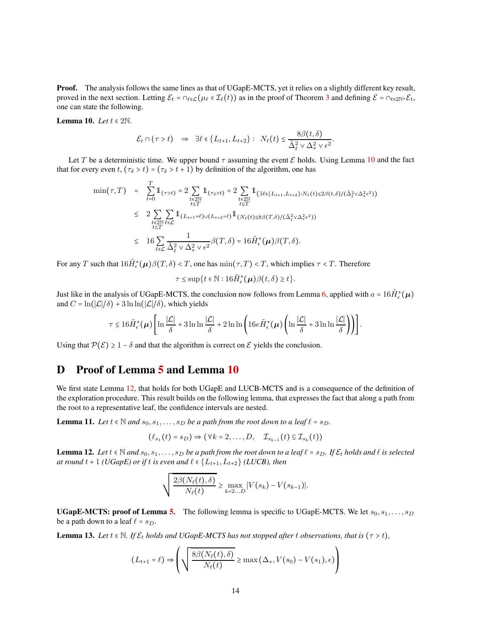Proof. The analysis follows the same lines as that of UGapE-MCTS, yet it relies on a slightly different key result, proved in the next section. Letting  $\mathcal{E}_t = \bigcap_{\ell \in \mathcal{L}} (\mu_\ell \in \mathcal{I}_\ell(t))$  as in the proof of Theorem [3](#page-5-0) and defining  $\mathcal{E} = \bigcap_{t \in 2\mathbb{N}^*} \mathcal{E}_t$ , one can state the following.

<span id="page-13-4"></span>Lemma 10. Let  $t \in 2\mathbb{N}$ .

$$
\mathcal{E}_t \cap (\tau > t) \Rightarrow \exists \ell \in \{L_{t+1}, L_{t+2}\} : N_{\ell}(t) \leq \frac{8\beta(t, \delta)}{\tilde{\Delta}_{\ell}^2 \vee \Delta_{\star}^2 \vee \epsilon^2}.
$$

Let T be a deterministic time. We upper bound  $\tau$  assuming the event E holds. Using Lemma [10](#page-13-4) and the fact that for every even t,  $(\tau_{\delta} > t) = (\tau_{\delta} > t + 1)$  by definition of the algorithm, one has

$$
\min(\tau, T) = \sum_{t=0}^{T} 1_{(\tau > t)} = 2 \sum_{\substack{t \in 2\mathbb{N} \\ t \leq T}} 1_{(\tau_{\delta} > t)} = 2 \sum_{\substack{t \in 2\mathbb{N} \\ t \leq T}} 1_{(\exists \ell \in \{L_{t+1}, L_{t+2}\}: N_{\ell}(t) \leq 2\beta(t,\delta)/(\tilde{\Delta}_{\ell}^{2} \vee \Delta_{\ast}^{2} \epsilon^{2}))}
$$
\n
$$
\leq 2 \sum_{\substack{t \in 2\mathbb{N} \\ t \leq T}} 1_{(L_{t+1} = \ell) \cup (L_{t+2} = \ell)} 1_{(N_{\ell}(t) \leq 8\beta(T,\delta)/(\tilde{\Delta}_{\ell}^{2} \vee \Delta_{\ast}^{2} \epsilon^{2}))}
$$
\n
$$
\leq 16 \sum_{\ell \in \mathcal{L}} \frac{1}{\tilde{\Delta}_{\ell}^{2} \vee \Delta_{\ast}^{2} \vee \epsilon^{2}} \beta(T,\delta) = 16 \tilde{H}_{\epsilon}^{*}(\mu) \beta(T,\delta).
$$

For any T such that  $16\tilde{H}_{\epsilon}^*(\mu)\beta(T,\delta) < T$ , one has  $\min(\tau,T) < T$ , which implies  $\tau < T$ . Therefore

$$
\tau \leq \sup\{t \in \mathbb{N} : 16\tilde{H}_{\epsilon}^*(\boldsymbol{\mu})\beta(t,\delta) \geq t\}.
$$

Just like in the analysis of UGapE-MCTS, the conclusion now follows from Lemma [6,](#page-6-1) applied with  $a = 16\tilde{H}_{\epsilon}^*(\mu)$ and  $C = \ln(|\mathcal{L}|/\delta) + 3 \ln \ln(|\mathcal{L}|/\delta)$ , which yields

$$
\tau \leq 16 \tilde{H}_{\epsilon}^{*}(\mu) \left[ \ln \frac{|\mathcal{L}|}{\delta} + 3 \ln \ln \frac{|\mathcal{L}|}{\delta} + 2 \ln \ln \left( 16 e \tilde{H}_{\epsilon}^{*}(\mu) \left( \ln \frac{|\mathcal{L}|}{\delta} + 3 \ln \ln \frac{|\mathcal{L}|}{\delta} \right) \right) \right].
$$

Using that  $P(\mathcal{E}) \geq 1 - \delta$  and that the algorithm is correct on  $\mathcal E$  yields the conclusion.

# <span id="page-13-0"></span>D Proof of Lemma [5](#page-6-0) and Lemma [10](#page-13-4)

 $\overline{r}$ 

We first state Lemma [12,](#page-13-2) that holds for both UGapE and LUCB-MCTS and is a consequence of the definition of the exploration procedure. This result builds on the following lemma, that expresses the fact that along a path from the root to a representative leaf, the confidence intervals are nested.

<span id="page-13-1"></span>**Lemma 11.** Let  $t \in \mathbb{N}$  and  $s_0, s_1, \ldots, s_D$  be a path from the root down to a leaf  $\ell = s_D$ .

$$
(\ell_{s_1}(t) = s_D) \Rightarrow (\forall k = 2, \ldots, D, \quad \mathcal{I}_{s_{k-1}}(t) \subseteq \mathcal{I}_{s_k}(t))
$$

<span id="page-13-2"></span>**Lemma 12.** Let  $t \in \mathbb{N}$  and  $s_0, s_1, \ldots, s_D$  be a path from the root down to a leaf  $\ell = s_D$ . If  $\mathcal{E}_t$  holds and  $\ell$  is selected *at round*  $t + 1$  *(UGapE) or if t is even and*  $\ell \in \{L_{t+1}, L_{t+2}\}$  *(LUCB), then* 

$$
\sqrt{\frac{2\beta(N_{\ell}(t),\delta)}{N_{\ell}(t)}} \geq \max_{k=2...D} |V(s_k)-V(s_{k-1})|.
$$

**UGapE-MCTS: proof of Lemma [5.](#page-6-0)** The following lemma is specific to UGapE-MCTS. We let  $s_0, s_1, \ldots, s_D$ be a path down to a leaf  $\ell = s_D$ .

<span id="page-13-3"></span>**Lemma 13.** Let  $t \in \mathbb{N}$ . If  $\mathcal{E}_t$  holds and UGapE-MCTS has not stopped after t observations, that is  $(\tau > t)$ ,

$$
(L_{t+1} = \ell) \Rightarrow \left( \sqrt{\frac{8\beta(N_{\ell}(t), \delta)}{N_{\ell}(t)}} \ge \max(\Delta_*, V(s_0) - V(s_1), \epsilon) \right)
$$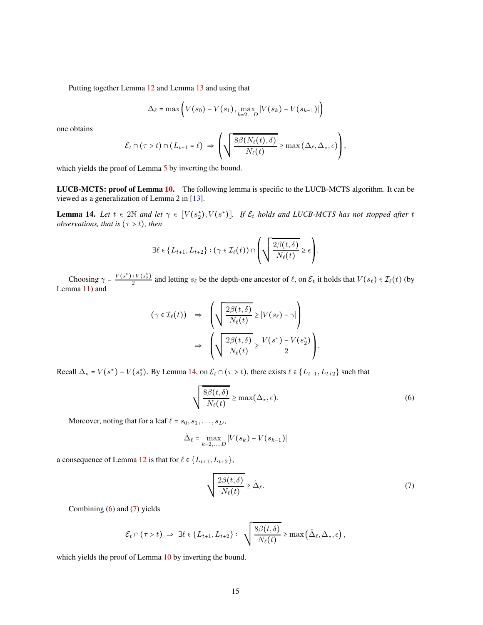Putting together Lemma [12](#page-13-2) and Lemma [13](#page-13-3) and using that

$$
\Delta_{\ell} = \max\bigg(V(s_0) - V(s_1), \max_{k=2...D} |V(s_k) - V(s_{k-1})|\bigg)
$$

one obtains

$$
\mathcal{E}_t \cap (\tau > t) \cap (L_{t+1} = \ell) \Rightarrow \left( \sqrt{\frac{8\beta(N_{\ell}(t), \delta)}{N_{\ell}(t)}} \ge \max(\Delta_{\ell}, \Delta_*, \epsilon) \right),
$$

which yields the proof of Lemma [5](#page-6-0) by inverting the bound.

LUCB-MCTS: proof of Lemma [10.](#page-13-4) The following lemma is specific to the LUCB-MCTS algorithm. It can be viewed as a generalization of Lemma 2 in [\[13\]](#page-9-7).

<span id="page-14-0"></span>**Lemma 14.** Let  $t \in 2\mathbb{N}$  and let  $\gamma \in [V(s_2^*), V(s^*)]$ . If  $\mathcal{E}_t$  holds and LUCB-MCTS has not stopped after t *observations, that is*  $(τ > t)$ *, then* 

$$
\exists \ell \in \{L_{t+1}, L_{t+2}\} : (\gamma \in \mathcal{I}_{\ell}(t)) \cap \left(\sqrt{\frac{2\beta(t,\delta)}{N_{\ell}(t)}} \geq \epsilon\right).
$$

Choosing  $\gamma = \frac{V(s^*) + V(s_2^*)}{2}$  and letting  $s_\ell$  be the depth-one ancestor of  $\ell$ , on  $\mathcal{E}_t$  it holds that  $V(s_\ell) \in \mathcal{I}_\ell(t)$  (by Lemma [11\)](#page-13-1) and

$$
(\gamma \in \mathcal{I}_{\ell}(t)) \Rightarrow \left( \sqrt{\frac{2\beta(t,\delta)}{N_{\ell}(t)}} \ge |V(s_{\ell}) - \gamma| \right) \Rightarrow \left( \sqrt{\frac{2\beta(t,\delta)}{N_{\ell}(t)}} \ge \frac{V(s^*) - V(s_2^*)}{2} \right).
$$

Recall  $\Delta_* = V(s^*) - V(s_2^*)$ . By Lemma [14,](#page-14-0) on  $\mathcal{E}_t \cap (\tau > t)$ , there exists  $\ell \in \{L_{t+1}, L_{t+2}\}$  such that

<span id="page-14-1"></span>
$$
\sqrt{\frac{8\beta(t,\delta)}{N_{\ell}(t)}} \ge \max(\Delta_*,\epsilon). \tag{6}
$$

Moreover, noting that for a leaf  $\ell = s_0, s_1, \ldots, s_D$ ,

$$
\tilde{\Delta}_{\ell} = \max_{k=2,...,D} |V(s_k) - V(s_{k-1})|
$$

a consequence of Lemma [12](#page-13-2) is that for  $\ell \in \{L_{t+1}, L_{t+2}\},\$ 

<span id="page-14-2"></span>
$$
\sqrt{\frac{2\beta(t,\delta)}{N_{\ell}(t)}} \geq \tilde{\Delta}_{\ell}.\tag{7}
$$

Combining [\(6\)](#page-14-1) and [\(7\)](#page-14-2) yields

$$
\mathcal{E}_t \cap (\tau > t) \implies \exists \ell \in \{L_{t+1}, L_{t+2}\} : \sqrt{\frac{8\beta(t,\delta)}{N_{\ell}(t)}} \ge \max\left(\tilde{\Delta}_{\ell}, \Delta_*, \epsilon\right),
$$

which yields the proof of Lemma [10](#page-13-4) by inverting the bound.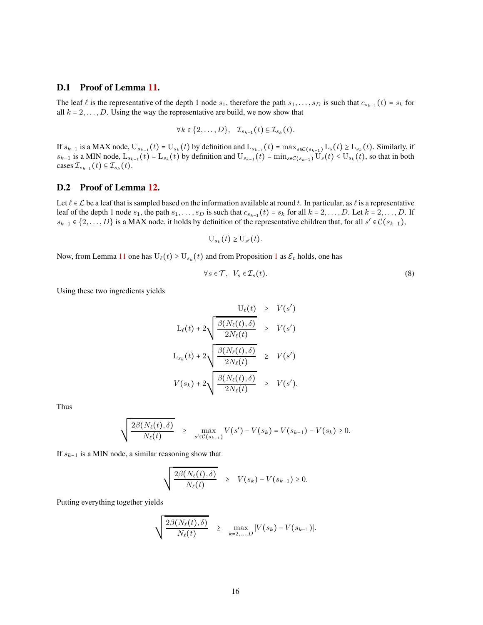### D.1 Proof of Lemma [11.](#page-13-1)

The leaf  $\ell$  is the representative of the depth 1 node  $s_1$ , therefore the path  $s_1, \ldots, s_D$  is such that  $c_{s_{k-1}}(t) = s_k$  for all  $k = 2, \ldots, D$ . Using the way the representative are build, we now show that

$$
\forall k \in \{2,\ldots,D\}, \quad \mathcal{I}_{s_{k-1}}(t) \subseteq \mathcal{I}_{s_k}(t).
$$

If  $s_{k-1}$  is a MAX node,  $U_{s_{k-1}}(t) = U_{s_k}(t)$  by definition and  $L_{s_{k-1}}(t) = \max_{s \in \mathcal{C}(s_{k-1})} L_s(t) \ge L_{s_k}(t)$ . Similarly, if  $s_{k-1}$  is a MIN node,  $L_{s_{k-1}}(t) = L_{s_k}(t)$  by definition and  $U_{s_{k-1}}(t) = \min_{s \in \mathcal{C}(s_{k-1})} U_s(t) \leq U_{s_k}(t)$ , so that in both cases  $\mathcal{I}_{s_{k-1}}(t) \subseteq \mathcal{I}_{s_k}(t)$ .

### D.2 Proof of Lemma [12.](#page-13-2)

Let  $\ell \in \mathcal{L}$  be a leaf that is sampled based on the information available at round t. In particular, as  $\ell$  is a representative leaf of the depth 1 node  $s_1$ , the path  $s_1, \ldots, s_D$  is such that  $c_{s_{k-1}}(t) = s_k$  for all  $k = 2, \ldots, D$ . Let  $k = 2, \ldots, D$ . If  $s_{k-1}$  ∈ {2, ..., D} is a MAX node, it holds by definition of the representative children that, for all  $s' \in C(s_{k-1})$ ,

$$
\mathrm{U}_{s_k}(t) \geq \mathrm{U}_{s'}(t).
$$

Now, from Lemma [11](#page-13-1) one has  $U_{\ell}(t) \ge U_{s_k}(t)$  and from Proposition [1](#page-2-0) as  $\mathcal{E}_t$  holds, one has

$$
\forall s \in \mathcal{T}, \ \ V_s \in \mathcal{I}_s(t). \tag{8}
$$

Using these two ingredients yields

$$
U_{\ell}(t) \geq V(s')
$$
  
\n
$$
L_{\ell}(t) + 2\sqrt{\frac{\beta(N_{\ell}(t), \delta)}{2N_{\ell}(t)}} \geq V(s')
$$
  
\n
$$
L_{s_k}(t) + 2\sqrt{\frac{\beta(N_{\ell}(t), \delta)}{2N_{\ell}(t)}} \geq V(s')
$$
  
\n
$$
V(s_k) + 2\sqrt{\frac{\beta(N_{\ell}(t), \delta)}{2N_{\ell}(t)}} \geq V(s').
$$

Thus

$$
\sqrt{\frac{2\beta(N_{\ell}(t),\delta)}{N_{\ell}(t)}}\geq \max_{s'\in\mathcal{C}(s_{k-1})}V(s')-V(s_{k})=V(s_{k-1})-V(s_{k})\geq 0.
$$

If  $s_{k-1}$  is a MIN node, a similar reasoning show that

$$
\sqrt{\frac{2\beta(N_{\ell}(t),\delta)}{N_{\ell}(t)}} \geq V(s_k) - V(s_{k-1}) \geq 0.
$$

Putting everything together yields

$$
\sqrt{\frac{2\beta(N_{\ell}(t),\delta)}{N_{\ell}(t)}}\geq \max_{k=2,...,D}|V(s_k)-V(s_{k-1})|.
$$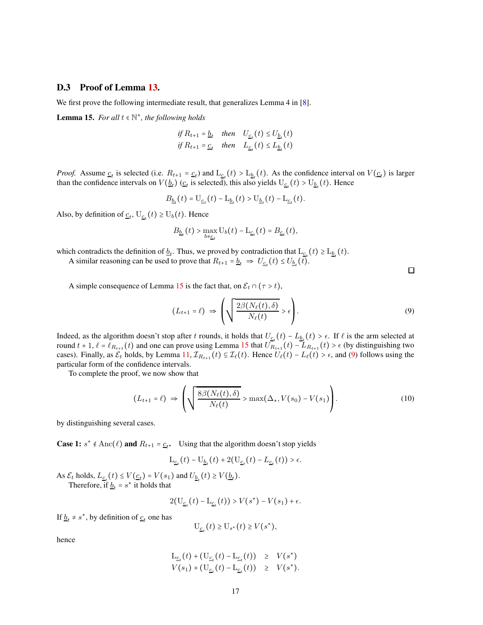#### D.3 Proof of Lemma [13.](#page-13-3)

We first prove the following intermediate result, that generalizes Lemma 4 in [\[8\]](#page-9-8).

<span id="page-16-0"></span>**Lemma 15.** For all  $t \in \mathbb{N}^*$ , the following holds

$$
\begin{aligned} & \text{if } R_{t+1} = \underline{b}_t \quad \text{then} \quad U_{\underline{c}_t}(t) \le U_{\underline{b}_t}(t) \\ & \text{if } R_{t+1} = \underline{c}_t \quad \text{then} \quad L_{\underline{c}_t}(t) \le L_{\underline{b}_t}(t) \end{aligned}
$$

*Proof.* Assume  $\underline{c}_t$  is selected (i.e.  $R_{t+1} = \underline{c}_t$ ) and  $L_{\underline{c}_t}(t) > L_{\underline{b}_t}(t)$ . As the confidence interval on  $V(\underline{c}_t)$  is larger than the confidence intervals on  $V(\underline{b}_t)$  ( $\underline{c}_t$  is selected), this also yields  $U_{\underline{c}_t}(t) > U_{\underline{b}_t}(t)$ . Hence

$$
B_{\underline{b}_t}(t) = \mathcal{U}_{\underline{c}_t}(t) - \mathcal{L}_{\underline{b}_t}(t) > \mathcal{U}_{\underline{b}_t}(t) - \mathcal{L}_{\underline{c}_t}(t).
$$

Also, by definition of  $\underline{c}_t$ ,  $U_{\underline{c}_t}(t) \ge U_b(t)$ . Hence

$$
B_{\underline{b}_t}(t) > \max_{b \neq \underline{c}_t} U_b(t) - L_{\underline{c}_t}(t) = B_{\underline{c}_t}(t),
$$

which contradicts the definition of  $\underline{b}_t$ . Thus, we proved by contradiction that  $\text{L}_{\underline{c}_t}(t) \geq \text{L}_{\underline{b}_t}(t)$ .

A similar reasoning can be used to prove that  $R_{t+1} = \underline{b}_t \Rightarrow U_{\underline{c}_t}(t) \leq U_{\underline{b}_t}(t)$ .

A simple consequence of Lemma [15](#page-16-0) is the fact that, on  $\mathcal{E}_t \cap (\tau > t)$ ,

<span id="page-16-1"></span>
$$
(L_{t+1} = \ell) \Rightarrow \left(\sqrt{\frac{2\beta(N_{\ell}(t), \delta)}{N_{\ell}(t)}} > \epsilon\right).
$$
\n(9)

Indeed, as the algorithm doesn't stop after t rounds, it holds that  $U_{\underline{c}_t}(t) - L_{\underline{b}_t}(t) > \epsilon$ . If  $\ell$  is the arm selected at round  $t + 1$ ,  $\ell = \ell_{R_{t+1}}(t)$  and one can prove using Lemma [15](#page-16-0) that  $U_{R_{t+1}}(t) - L_{R_{t+1}}(t) > \epsilon$  (by distinguishing two cases). Finally, as  $\mathcal{E}_t$  holds, by Lemma [11,](#page-13-1)  $\mathcal{I}_{R_{t+1}}(t) \subseteq \mathcal{I}_{\ell}(t)$ . Hence  $U_{\ell}(t) - L_{\ell}(t) > \epsilon$ , and [\(9\)](#page-16-1) follows using the particular form of the confidence intervals.

To complete the proof, we now show that

<span id="page-16-2"></span>
$$
(L_{t+1} = \ell) \Rightarrow \left( \sqrt{\frac{8\beta(N_{\ell}(t), \delta)}{N_{\ell}(t)}} > \max(\Delta_*, V(s_0) - V(s_1)) \right). \tag{10}
$$

by distinguishing several cases.

**Case 1:**  $s^* \notin \text{Anc}(\ell)$  and  $R_{t+1} = \underline{c}_t$ . Using that the algorithm doesn't stop yields

$$
L_{\underline{c}_t}(t) - U_{\underline{b}_t}(t) + 2(U_{\underline{c}_t}(t) - L_{\underline{c}_t}(t)) > \epsilon.
$$

As  $\mathcal{E}_t$  holds,  $L_{\underline{c}_t}(t) \le V(\underline{c}_t) = V(s_1)$  and  $U_{\underline{b}_t}(t) \ge V(\underline{b}_t)$ . Therefore, if  $\underline{b}_t = s^*$  it holds that

$$
2(\mathbf{U}_{\underline{c}_t}(t) - \mathbf{L}_{\underline{c}_t}(t)) > V(s^*) - V(s_1) + \epsilon.
$$

If  $\underline{b}_t \neq s^*$ , by definition of  $\underline{c}_t$  one has

$$
\mathcal{U}_{\underline{c}_t}(t) \ge \mathcal{U}_{s^*}(t) \ge V(s^*),
$$

hence

$$
L_{\underline{c}_t}(t) + (U_{\underline{c}_t}(t) - L_{\underline{c}_t}(t)) \geq V(s^*)
$$
  

$$
V(s_1) + (U_{\underline{c}_t}(t) - L_{\underline{c}_t}(t)) \geq V(s^*).
$$

 $\Box$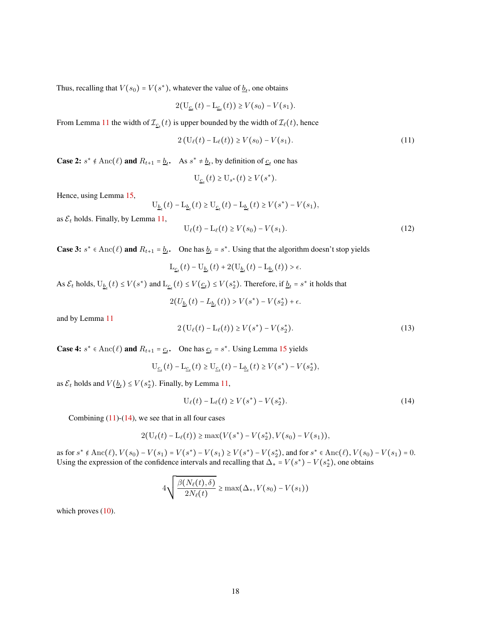Thus, recalling that  $V(s_0) = V(s^*)$ , whatever the value of  $\underline{b}_t$ , one obtains

$$
2(U_{\underline{c}_t}(t) - L_{\underline{c}_t}(t)) \ge V(s_0) - V(s_1).
$$

From Lemma [11](#page-13-1) the width of  $\mathcal{I}_{\underline{c}_t}(t)$  is upper bounded by the width of  $\mathcal{I}_{\ell}(t)$ , hence

<span id="page-17-0"></span>
$$
2(U_{\ell}(t) - L_{\ell}(t)) \ge V(s_0) - V(s_1).
$$
\n(11)

**Case 2:**  $s^* \notin \text{Anc}(\ell)$  and  $R_{t+1} = \underline{b}_t$ . As  $s^* \neq \underline{b}_t$ , by definition of  $\underline{c}_t$  one has

$$
\mathcal{U}_{\underline{c}_t}(t) \ge \mathcal{U}_{s^*}(t) \ge V(s^*).
$$

Hence, using Lemma [15,](#page-16-0)

$$
U_{\underline{b}_t}(t) - L_{\underline{b}_t}(t) \ge U_{\underline{c}_t}(t) - L_{\underline{b}_t}(t) \ge V(s^*) - V(s_1),
$$
as  $\mathcal{E}_t$  holds. Finally, by Lemma 11,  

$$
U_{\ell}(t) - L_{\ell}(t) \ge V(s_0) - V(s_1).
$$
 (12)

**Case 3:**  $s^* \in \text{Anc}(\ell)$  and  $R_{t+1} = \underline{b}_t$ . One has  $\underline{b}_t = s^*$ . Using that the algorithm doesn't stop yields

$$
\mathcal{L}_{\underline{c}_t}(t) - \mathcal{U}_{\underline{b}_t}(t) + 2(\mathcal{U}_{\underline{b}_t}(t) - \mathcal{L}_{\underline{b}_t}(t)) > \epsilon.
$$

As  $\mathcal{E}_t$  holds,  $U_{\underline{b}_t}(t) \leq V(s^*)$  and  $L_{\underline{c}_t}(t) \leq V(\underline{c}_t) \leq V(s_2^*)$ . Therefore, if  $\underline{b}_t = s^*$  it holds that  $2(U_{\underline{b}_t}(t) - L_{\underline{b}_t}(t)) > V(s^*) - V(s_2^*) + \epsilon.$ 

and by Lemma [11](#page-13-1)

$$
2(U_{\ell}(t) - L_{\ell}(t)) \ge V(s^*) - V(s_2^*).
$$
\n(13)

**Case 4:**  $s^* \in \text{Anc}(\ell)$  and  $R_{t+1} = \underline{c}_t$ . One has  $\underline{c}_t = s^*$ . Using Lemma [15](#page-16-0) yields

$$
U_{\underline{c}_t}(t) - L_{\underline{c}_t}(t) \ge U_{\underline{c}_t}(t) - L_{\underline{b}_t}(t) \ge V(s^*) - V(s_2^*),
$$

as  $\mathcal{E}_t$  holds and  $V(\underline{b}_t) \leq V(s_2^*)$ . Finally, by Lemma [11,](#page-13-1)

<span id="page-17-1"></span>
$$
U_{\ell}(t) - L_{\ell}(t) \ge V(s^*) - V(s_2^*). \tag{14}
$$

Combining  $(11)-(14)$  $(11)-(14)$  $(11)-(14)$ , we see that in all four cases

$$
2(U_{\ell}(t) - L_{\ell}(t)) \ge \max(V(s^*) - V(s_2^*), V(s_0) - V(s_1)),
$$

as for  $s^* \notin \text{Anc}(\ell), V(s_0) - V(s_1) = V(s^*) - V(s_1) \ge V(s^*) - V(s_2^*)$ , and for  $s^* \in \text{Anc}(\ell), V(s_0) - V(s_1) = 0$ . Using the expression of the confidence intervals and recalling that  $\Delta_* = V(s^*) - V(s_2^*)$ , one obtains

$$
4\sqrt{\frac{\beta(N_{\ell}(t),\delta)}{2N_{\ell}(t)}} \geq \max(\Delta_*, V(s_0) - V(s_1))
$$

which proves  $(10)$ .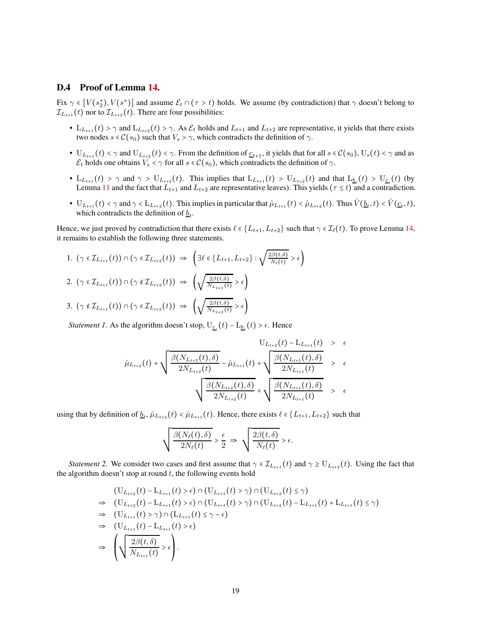### D.4 Proof of Lemma [14.](#page-14-0)

Fix  $\gamma \in [V(s_2^*), V(s^*)]$  and assume  $\mathcal{E}_t \cap (\tau > t)$  holds. We assume (by contradiction) that  $\gamma$  doesn't belong to  $\mathcal{I}_{L_{t+1}}(t)$  nor to  $\mathcal{I}_{L_{t+2}}(t)$ . There are four possibilities:

- $L_{L_{t+1}}(t) > \gamma$  and  $L_{L_{t+2}}(t) > \gamma$ . As  $\mathcal{E}_t$  holds and  $L_{t+1}$  and  $L_{t+2}$  are representative, it yields that there exists two nodes  $s \in \mathcal{C}(s_0)$  such that  $V_s > \gamma$ , which contradicts the definition of  $\gamma$ .
- $\bullet$   $U_{L_{t+1}}(t) < \gamma$  and  $U_{L_{t+2}}(t) < \gamma$ . From the definition of  $\underline{c}_{t+1}$ , it yields that for all  $s \in \mathcal{C}(s_0)$ ,  $U_s(t) < \gamma$  and as  $\mathcal{E}_t$  holds one obtains  $V_s < \gamma$  for all  $s \in \mathcal{C}(s_0)$ , which contradicts the definition of  $\gamma$ .
- $L_{L_{t+1}}(t) > \gamma$  and  $\gamma > U_{L_{t+2}}(t)$ . This implies that  $L_{L_{t+1}}(t) > U_{L_{t+2}}(t)$  and that  $L_{b_t}(t) > U_{c_t}(t)$  (by Lemma [11](#page-13-1) and the fact that  $L_{t+1}$  and  $L_{t+2}$  are representative leaves). This yields ( $\tau \le t$ ) and a contradiction.
- $\bullet$   $U_{L_{t+1}}(t) < \gamma$  and  $\gamma < L_{L_{t+2}}(t)$ . This implies in particular that  $\hat{\mu}_{L_{t+1}}(t) < \hat{\mu}_{L_{t+2}}(t)$ . Thus  $\hat{V}(\underline{b}_t, t) < \hat{V}(\underline{c}_t, t)$ , which contradicts the definition of  $\underline{b}_t$ .

Hence, we just proved by contradiction that there exists  $\ell \in \{L_{t+1}, L_{t+2}\}$  such that  $\gamma \in \mathcal{I}_{\ell}(t)$ . To prove Lemma [14,](#page-14-0) it remains to establish the following three statements.

1. 
$$
(\gamma \in \mathcal{I}_{L_{t+1}}(t)) \cap (\gamma \in \mathcal{I}_{L_{t+2}}(t)) \Rightarrow \left(\exists \ell \in \{L_{t+1}, L_{t+2}\} : \sqrt{\frac{2\beta(t,\delta)}{N_{\ell}(t)}} > \epsilon\right)
$$
  
\n2.  $(\gamma \in \mathcal{I}_{L_{t+1}}(t)) \cap (\gamma \notin \mathcal{I}_{L_{t+2}}(t)) \Rightarrow \left(\sqrt{\frac{2\beta(t,\delta)}{N_{L_{t+1}}(t)}} > \epsilon\right)$   
\n3.  $(\gamma \notin \mathcal{I}_{L_{t+1}}(t)) \cap (\gamma \in \mathcal{I}_{L_{t+2}}(t)) \Rightarrow \left(\sqrt{\frac{2\beta(t,\delta)}{N_{L_{t+2}}(t)}} > \epsilon\right)$ 

*Statement 1*. As the algorithm doesn't stop,  $U_{\underline{c}_t}(t) - L_{\underline{b}_t}(t) > \epsilon$ . Hence

$$
\hat{\mu}_{L_{t+2}}(t) + \sqrt{\frac{\beta(N_{L_{t+2}}(t), \delta)}{2N_{L_{t+2}}(t)} - \hat{\mu}_{L_{t+1}}(t)} + \sqrt{\frac{\beta(N_{L_{t+1}}(t), \delta)}{2N_{L_{t+1}}(t)}} > \epsilon
$$
\n
$$
\sqrt{\frac{\beta(N_{L_{t+2}}(t), \delta)}{2N_{L_{t+2}}(t)} + \sqrt{\frac{\beta(N_{L_{t+1}}(t), \delta)}{2N_{L_{t+1}}(t)}} > \epsilon}
$$

using that by definition of  $\underline{b}_t$ ,  $\hat{\mu}_{L_{t+2}}(t) < \hat{\mu}_{L_{t+1}}(t)$ . Hence, there exists  $\ell \in \{L_{t+1}, L_{t+2}\}$  such that

$$
\sqrt{\frac{\beta(N_{\ell}(t),\delta)}{2N_{\ell}(t)}} > \frac{\epsilon}{2} \Rightarrow \sqrt{\frac{2\beta(t,\delta)}{N_{\ell}(t)}} > \epsilon.
$$

*Statement 2*. We consider two cases and first assume that  $\gamma \in \mathcal{I}_{L_{t+1}}(t)$  and  $\gamma \ge U_{L_{t+2}}(t)$ . Using the fact that the algorithm doesn't stop at round  $t$ , the following events hold

$$
\begin{split}\n & (\mathbf{U}_{L_{t+2}}(t) - \mathbf{L}_{L_{t+1}}(t) > \epsilon) \cap (\mathbf{U}_{L_{t+1}}(t) > \gamma) \cap (\mathbf{U}_{L_{t+2}}(t) \leq \gamma) \\
&\Rightarrow \quad (\mathbf{U}_{L_{t+2}}(t) - \mathbf{L}_{L_{t+1}}(t) > \epsilon) \cap (\mathbf{U}_{L_{t+1}}(t) > \gamma) \cap (\mathbf{U}_{L_{t+2}}(t) - \mathbf{L}_{L_{t+1}}(t) + \mathbf{L}_{L_{t+1}}(t) \leq \gamma) \\
&\Rightarrow \quad (\mathbf{U}_{L_{t+1}}(t) > \gamma) \cap (\mathbf{L}_{L_{t+1}}(t) \leq \gamma - \epsilon) \\
&\Rightarrow \quad (\mathbf{U}_{L_{t+1}}(t) - \mathbf{L}_{L_{t+1}}(t) > \epsilon) \\
&\Rightarrow \quad \left(\sqrt{\frac{2\beta(t,\delta)}{N_{L_{t+1}}(t)}} \geq \epsilon\right).\n \end{split}
$$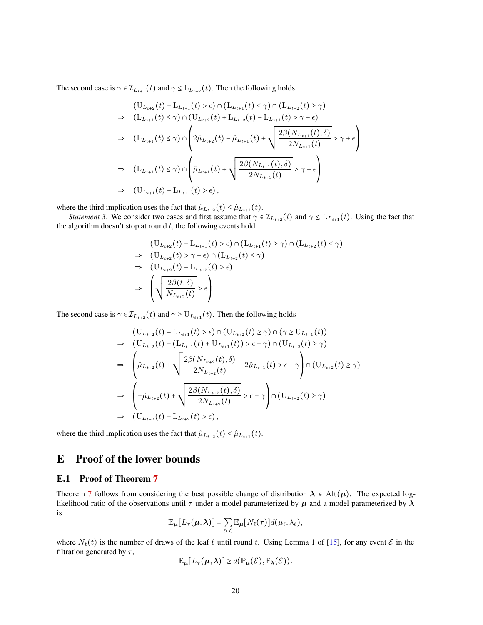The second case is  $\gamma \in \mathcal{I}_{L_{t+1}}(t)$  and  $\gamma \leq L_{L_{t+2}}(t)$ . Then the following holds

$$
(U_{L_{t+2}}(t) - L_{L_{t+1}}(t) > \epsilon) \cap (L_{L_{t+1}}(t) \leq \gamma) \cap (L_{L_{t+2}}(t) \geq \gamma)
$$
  
\n
$$
\Rightarrow (L_{L_{t+1}}(t) \leq \gamma) \cap (U_{L_{t+2}}(t) + L_{L_{t+2}}(t) - L_{L_{t+1}}(t) > \gamma + \epsilon)
$$
  
\n
$$
\Rightarrow (L_{L_{t+1}}(t) \leq \gamma) \cap \left(2\hat{\mu}_{L_{t+2}}(t) - \hat{\mu}_{L_{t+1}}(t) + \sqrt{\frac{2\beta(N_{L_{t+1}}(t), \delta)}{2N_{L_{t+1}}(t)}} > \gamma + \epsilon\right)
$$
  
\n
$$
\Rightarrow (L_{L_{t+1}}(t) \leq \gamma) \cap \left(\hat{\mu}_{L_{t+1}}(t) + \sqrt{\frac{2\beta(N_{L_{t+1}}(t), \delta)}{2N_{L_{t+1}}(t)}} > \gamma + \epsilon\right)
$$
  
\n
$$
\Rightarrow (U_{L_{t+1}}(t) - L_{L_{t+1}}(t) > \epsilon),
$$

where the third implication uses the fact that  $\hat{\mu}_{L_{t+2}}(t) \leq \hat{\mu}_{L_{t+1}}(t)$ .

*Statement 3*. We consider two cases and first assume that  $\gamma \in \mathcal{I}_{L_{t+2}}(t)$  and  $\gamma \leq L_{L_{t+1}}(t)$ . Using the fact that the algorithm doesn't stop at round  $t$ , the following events hold

$$
\begin{aligned}\n & \left( \mathbf{U}_{L_{t+2}}(t) - \mathbf{L}_{L_{t+1}}(t) > \epsilon \right) \cap \left( \mathbf{L}_{L_{t+1}}(t) \geq \gamma \right) \cap \left( \mathbf{L}_{L_{t+2}}(t) \leq \gamma \right) \\
&\Rightarrow \quad \left( \mathbf{U}_{L_{t+2}}(t) > \gamma + \epsilon \right) \cap \left( \mathbf{L}_{L_{t+2}}(t) \leq \gamma \right) \\
&\Rightarrow \quad \left( \mathbf{U}_{L_{t+2}}(t) - \mathbf{L}_{L_{t+2}}(t) > \epsilon \right) \\
&\Rightarrow \quad \left( \sqrt{\frac{2\beta(t,\delta)}{N_{L_{t+2}}(t)}} > \epsilon \right).\n \end{aligned}
$$

The second case is  $\gamma \in \mathcal{I}_{L_{t+2}}(t)$  and  $\gamma \ge U_{L_{t+1}}(t)$ . Then the following holds

$$
(U_{L_{t+2}}(t) - L_{L_{t+1}}(t) > \epsilon) \cap (U_{L_{t+2}}(t) \ge \gamma) \cap (\gamma \ge U_{L_{t+1}}(t))
$$
  
\n
$$
\Rightarrow (U_{L_{t+2}}(t) - (L_{L_{t+1}}(t) + U_{L_{t+1}}(t)) > \epsilon - \gamma) \cap (U_{L_{t+2}}(t) \ge \gamma)
$$
  
\n
$$
\Rightarrow \left(\hat{\mu}_{L_{t+2}}(t) + \sqrt{\frac{2\beta(N_{L_{t+2}}(t), \delta)}{2N_{L_{t+2}}(t)}} - 2\hat{\mu}_{L_{t+1}}(t) > \epsilon - \gamma\right) \cap (U_{L_{t+2}}(t) \ge \gamma)
$$
  
\n
$$
\Rightarrow \left(-\hat{\mu}_{L_{t+2}}(t) + \sqrt{\frac{2\beta(N_{L_{t+2}}(t), \delta)}{2N_{L_{t+2}}(t)}} > \epsilon - \gamma\right) \cap (U_{L_{t+2}}(t) \ge \gamma)
$$
  
\n
$$
\Rightarrow (U_{L_{t+2}}(t) - L_{L_{t+2}}(t) > \epsilon),
$$

where the third implication uses the fact that  $\hat{\mu}_{L_{t+2}}(t) \leq \hat{\mu}_{L_{t+1}}(t)$ .

# <span id="page-19-0"></span>E Proof of the lower bounds

### E.1 Proof of Theorem [7](#page-7-1)

Theorem [7](#page-7-1) follows from considering the best possible change of distribution  $\lambda \in Alt(\mu)$ . The expected loglikelihood ratio of the observations until  $\tau$  under a model parameterized by  $\mu$  and a model parameterized by  $\lambda$ is

$$
\mathbb{E}_{\mu}[L_{\tau}(\mu,\lambda)]=\sum_{\ell\in\mathcal{L}}\mathbb{E}_{\mu}[N_{\ell}(\tau)]d(\mu_{\ell},\lambda_{\ell}),
$$

where  $N_{\ell}(t)$  is the number of draws of the leaf  $\ell$  until round t. Using Lemma 1 of [\[15\]](#page-10-8), for any event  $\mathcal E$  in the filtration generated by  $\tau$ ,

$$
\mathbb{E}_{\mu}[L_{\tau}(\mu,\lambda)] \geq d(\mathbb{P}_{\mu}(\mathcal{E}),\mathbb{P}_{\lambda}(\mathcal{E})).
$$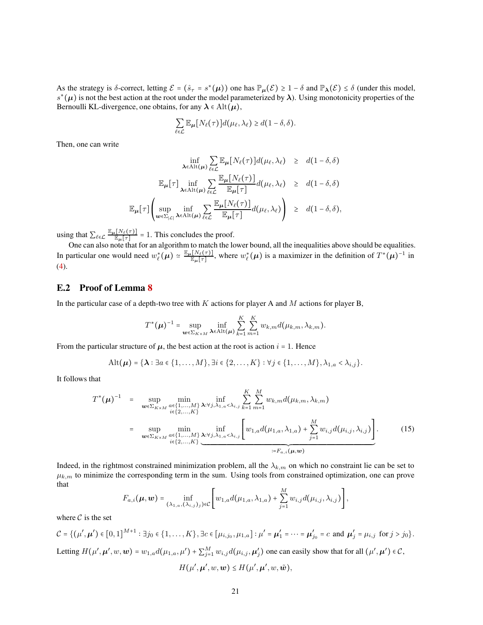As the strategy is  $\delta$ -correct, letting  $\mathcal{E} = (\hat{s}_{\tau} = s^*(\mu))$  one has  $\mathbb{P}_{\mu}(\mathcal{E}) \ge 1 - \delta$  and  $\mathbb{P}_{\lambda}(\mathcal{E}) \le \delta$  (under this model,  $s^*(\mu)$  is not the best action at the root under the model parameterized by  $\lambda$ ). Using monotonicity properties of the Bernoulli KL-divergence, one obtains, for any  $\lambda \in \text{Alt}(\mu)$ ,

$$
\sum_{\ell \in \mathcal{L}} \mathbb{E}_{\mu} [N_{\ell}(\tau)] d(\mu_{\ell}, \lambda_{\ell}) \geq d(1 - \delta, \delta).
$$

Then, one can write

$$
\inf_{\lambda \in \text{Alt}(\mu)} \sum_{\ell \in \mathcal{L}} \mathbb{E}_{\mu} [N_{\ell}(\tau)] d(\mu_{\ell}, \lambda_{\ell}) \geq d(1 - \delta, \delta)
$$
  

$$
\mathbb{E}_{\mu} [\tau] \inf_{\lambda \in \text{Alt}(\mu)} \sum_{\ell \in \mathcal{L}} \frac{\mathbb{E}_{\mu} [N_{\ell}(\tau)]}{\mathbb{E}_{\mu} [\tau]} d(\mu_{\ell}, \lambda_{\ell}) \geq d(1 - \delta, \delta)
$$
  

$$
\mathbb{E}_{\mu} [\tau] \left( \sup_{w \in \Sigma_{|\mathcal{L}|}} \inf_{\lambda \in \text{Alt}(\mu)} \sum_{\ell \in \mathcal{L}} \frac{\mathbb{E}_{\mu} [N_{\ell}(\tau)]}{\mathbb{E}_{\mu} [\tau]} d(\mu_{\ell}, \lambda_{\ell}) \right) \geq d(1 - \delta, \delta),
$$

using that  $\sum_{\ell \in \mathcal{L}} \frac{\mathbb{E}_{\mu}[N_{\ell}(\tau)]}{\mathbb{E}_{\mu}[\tau]}$  $\frac{E_{\mu}[\mathcal{N}\ell(\tau)]}{\mathbb{E}_{\mu}[\tau]} = 1$ . This concludes the proof.

One can also note that for an algorithm to match the lower bound, all the inequalities above should be equalities. In particular one would need  $w_{\ell}^*(\mu) \simeq \frac{\mathbb{E}_{\mu}[N_{\ell}(\tau)]}{\mathbb{E}_{\mu}[\tau]}$  $\frac{[N_{\ell}(\tau)]}{\mathbb{E}_{\mu}[\tau]}$ , where  $w_{\ell}^{*}(\mu)$  is a maximizer in the definition of  $T^{*}(\mu)^{-1}$  in [\(4\)](#page-7-2).

## E.2 Proof of Lemma [8](#page-8-1)

In the particular case of a depth-two tree with  $K$  actions for player A and  $M$  actions for player B,

$$
T^*(\boldsymbol{\mu})^{-1} = \sup_{\boldsymbol{w}\in \Sigma_{K\times M}} \inf_{\boldsymbol{\lambda}\in \text{Alt}(\boldsymbol{\mu})} \sum_{k=1}^K \sum_{m=1}^K w_{k,m} d(\mu_{k,m},\lambda_{k,m}).
$$

From the particular structure of  $\mu$ , the best action at the root is action  $i = 1$ . Hence

$$
\mathrm{Alt}(\boldsymbol{\mu}) = \{\boldsymbol{\lambda} : \exists a \in \{1,\ldots,M\}, \exists i \in \{2,\ldots,K\} : \forall j \in \{1,\ldots,M\}, \lambda_{1,a} < \lambda_{i,j}\}.
$$

It follows that

<span id="page-20-0"></span>
$$
T^{*}(\mu)^{-1} = \sup_{\substack{\boldsymbol{w} \in \Sigma_{K \times M} \\ i \in \{2,\ldots,K\}}} \min_{\substack{a \in \{1,\ldots,M\} \\ i \in \{2,\ldots,K\}}} \inf_{\substack{\lambda: \forall j, \lambda_{1,a} < \lambda_{i,j} \\ \lambda \in \{1,\ldots,K\}}} \sum_{k=1}^{K} \sum_{m=1}^{M} w_{k,m} d(\mu_{k,m}, \lambda_{k,m})
$$
\n
$$
= \sup_{\substack{\boldsymbol{w} \in \Sigma_{K \times M} \\ i \in \{2,\ldots,K\}}} \min_{\substack{\lambda: \forall j, \lambda_{1,a} < \lambda_{i,j} \\ \lambda \in \{1,\ldots,K\}}} \left[ w_{1,a} d(\mu_{1,a}, \lambda_{1,a}) + \sum_{j=1}^{M} w_{i,j} d(\mu_{i,j}, \lambda_{i,j}) \right]. \tag{15}
$$

Indeed, in the rightmost constrained minimization problem, all the  $\lambda_{k,m}$  on which no constraint lie can be set to  $\mu_{k,m}$  to minimize the corresponding term in the sum. Using tools from constrained optimization, one can prove that

$$
F_{a,i}(\mu, \mathbf{w}) = \inf_{(\lambda_{1,a}, (\lambda_{i,j})_j) \in \mathcal{C}} \left[ w_{1,a} d(\mu_{1,a}, \lambda_{1,a}) + \sum_{j=1}^M w_{i,j} d(\mu_{i,j}, \lambda_{i,j}) \right],
$$

where  $C$  is the set

$$
\mathcal{C} = \{ (\mu', \mu') \in [0, 1]^{M+1} : \exists j_0 \in \{1, \dots, K\}, \exists c \in [\mu_{i,j_0}, \mu_{1,a}] : \mu' = \mu'_1 = \dots = \mu'_{j_0} = c \text{ and } \mu'_j = \mu_{i,j} \text{ for } j > j_0 \}.
$$
  
Letting  $H(\mu', \mu', w, w) = w_{1,a} d(\mu_{1,a}, \mu') + \sum_{j=1}^M w_{i,j} d(\mu_{i,j}, \mu'_j)$  one can easily show that for all  $(\mu', \mu') \in \mathcal{C}$ ,  

$$
H(\mu', \mu', w, w) \le H(\mu', \mu', w, \tilde{w}),
$$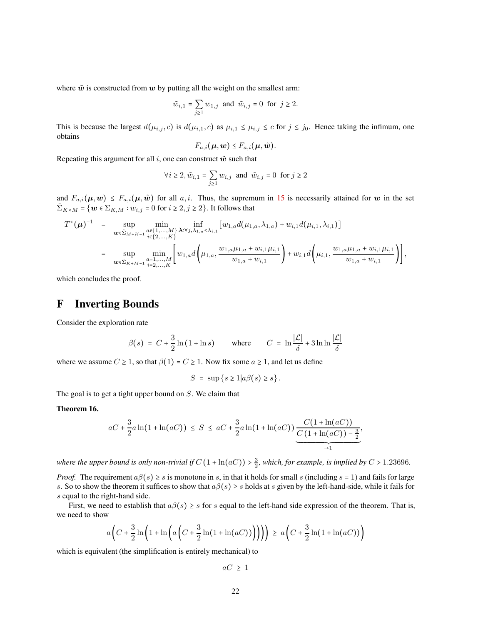where  $\tilde{w}$  is constructed from w by putting all the weight on the smallest arm:

$$
\tilde{w}_{i,1} = \sum_{j\geq 1} w_{1,j}
$$
 and  $\tilde{w}_{i,j} = 0$  for  $j \geq 2$ .

This is because the largest  $d(\mu_{i,j}, c)$  is  $d(\mu_{i,1}, c)$  as  $\mu_{i,1} \leq \mu_{i,j} \leq c$  for  $j \leq j_0$ . Hence taking the infimum, one obtains

$$
F_{a,i}(\boldsymbol{\mu},\boldsymbol{w})\leq F_{a,i}(\boldsymbol{\mu},\tilde{\boldsymbol{w}}).
$$

Repeating this argument for all i, one can construct  $\tilde{w}$  such that

$$
\forall i \ge 2, \tilde{w}_{i,1} = \sum_{j \ge 1} w_{i,j} \text{ and } \tilde{w}_{i,j} = 0 \text{ for } j \ge 2
$$

and  $F_{a,i}(\mu, w) \leq F_{a,i}(\mu, \tilde{w})$  for all  $a, i$ . Thus, the supremum in [15](#page-20-0) is necessarily attained for w in the set  $\tilde{\Sigma}_{K\times M} = \{w \in \Sigma_{K,M} : w_{i,j} = 0 \text{ for } i \geq 2, j \geq 2\}$ . It follows that

$$
T^{*}(\mu)^{-1} = \sup_{\substack{w \in \tilde{\Sigma}_{M+K-1}} \det_{i \in \{1,\ldots,M\}} \lambda : \forall j,\lambda_{1,a} < \lambda_{i,1}} [w_{1,a} d(\mu_{1,a}, \lambda_{1,a}) + w_{i,1} d(\mu_{i,1}, \lambda_{i,1})]
$$
  

$$
= \sup_{\substack{w \in \tilde{\Sigma}_{K+M-1}} \det_{i=2,\ldots,K}} \min_{\substack{a=1,\ldots,M\\ \ldots,a}} \left[ w_{1,a} d\left(\mu_{1,a}, \frac{w_{1,a} \mu_{1,a} + w_{i,1} \mu_{i,1}}{w_{1,a} + w_{i,1}}\right) + w_{i,1} d\left(\mu_{i,1}, \frac{w_{1,a} \mu_{1,a} + w_{i,1} \mu_{i,1}}{w_{1,a} + w_{i,1}}\right) \right],
$$

which concludes the proof.

# <span id="page-21-1"></span>F Inverting Bounds

Consider the exploration rate

$$
\beta(s) = C + \frac{3}{2}\ln(1 + \ln s) \quad \text{where} \quad C = \ln\frac{|\mathcal{L}|}{\delta} + 3\ln\ln\frac{|\mathcal{L}|}{\delta}
$$

where we assume  $C \geq 1$ , so that  $\beta(1) = C \geq 1$ . Now fix some  $a \geq 1$ , and let us define

$$
S = \sup \{ s \ge 1 | a\beta(s) \ge s \} .
$$

The goal is to get a tight upper bound on  $S$ . We claim that

#### <span id="page-21-0"></span>Theorem 16.

$$
aC + \frac{3}{2}a\ln(1 + \ln(aC)) \leq S \leq aC + \frac{3}{2}a\ln(1 + \ln(aC)) \underbrace{\frac{C(1 + \ln(aC))}{C(1 + \ln(aC)) - \frac{3}{2}}}_{\to 1},
$$

where the upper bound is only non-trivial if  $C(1 + \ln(aC)) > \frac{3}{2}$ , which, for example, is implied by  $C > 1.23696$ .

*Proof.* The requirement  $a\beta(s) \geq s$  is monotone in s, in that it holds for small s (including  $s = 1$ ) and fails for large s. So to show the theorem it suffices to show that  $a\beta(s) \geq s$  holds at s given by the left-hand-side, while it fails for s equal to the right-hand side.

First, we need to establish that  $a\beta(s) \geq s$  for s equal to the left-hand side expression of the theorem. That is, we need to show

$$
a\left(C+\frac{3}{2}\ln\left(1+\ln\left(a\left(C+\frac{3}{2}\ln(1+\ln(aC))\right)\right)\right)\right) \geq a\left(C+\frac{3}{2}\ln(1+\ln(aC))\right)
$$

which is equivalent (the simplification is entirely mechanical) to

 $aC \geq 1$